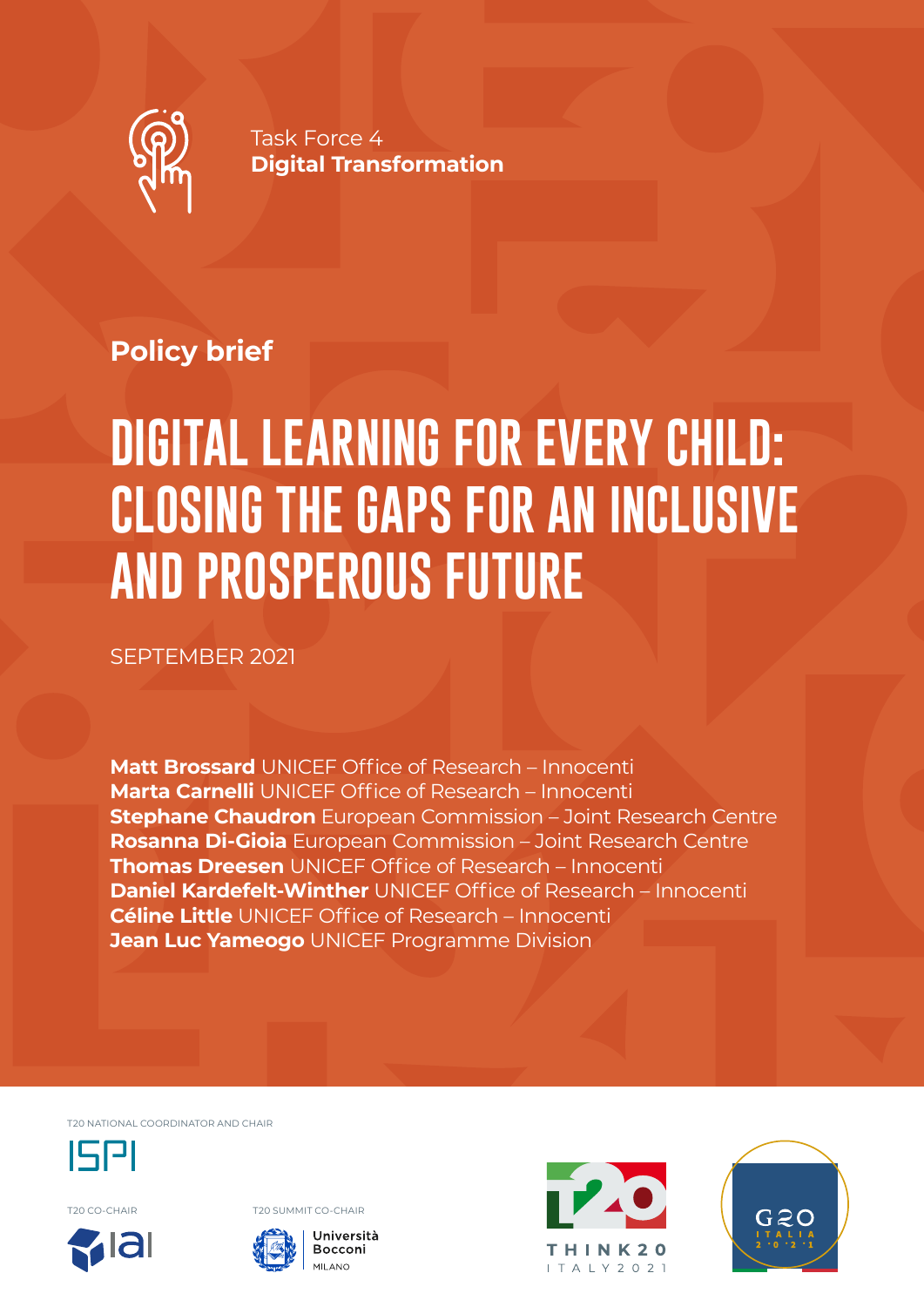

Task Force 4 **Digital Transformation**

## **Policy brief**

# **DIGITAL LEARNING FOR EVERY CHILD: CLOSING THE GAPS FOR AN INCLUSIVE AND PROSPEROUS FUTURE**

SEPTEMBER 2021

**Matt Brossard** UNICEF Office of Research – Innocenti **Marta Carnelli** UNICEF Office of Research – Innocenti **Stephane Chaudron** European Commission – Joint Research Centre **Rosanna Di-Gioia** European Commission – Joint Research Centre **Thomas Dreesen** UNICEF Office of Research – Innocenti **Daniel Kardefelt-Winther** UNICEF Office of Research – Innocenti **Céline Little** UNICEF Office of Research – Innocenti **Jean Luc Yameogo** UNICEF Programme Division

T20 NATIONAL COORDINATOR AND CHAIR



T20 CO-CHAIR T20 SUMMIT CO-CHAIR







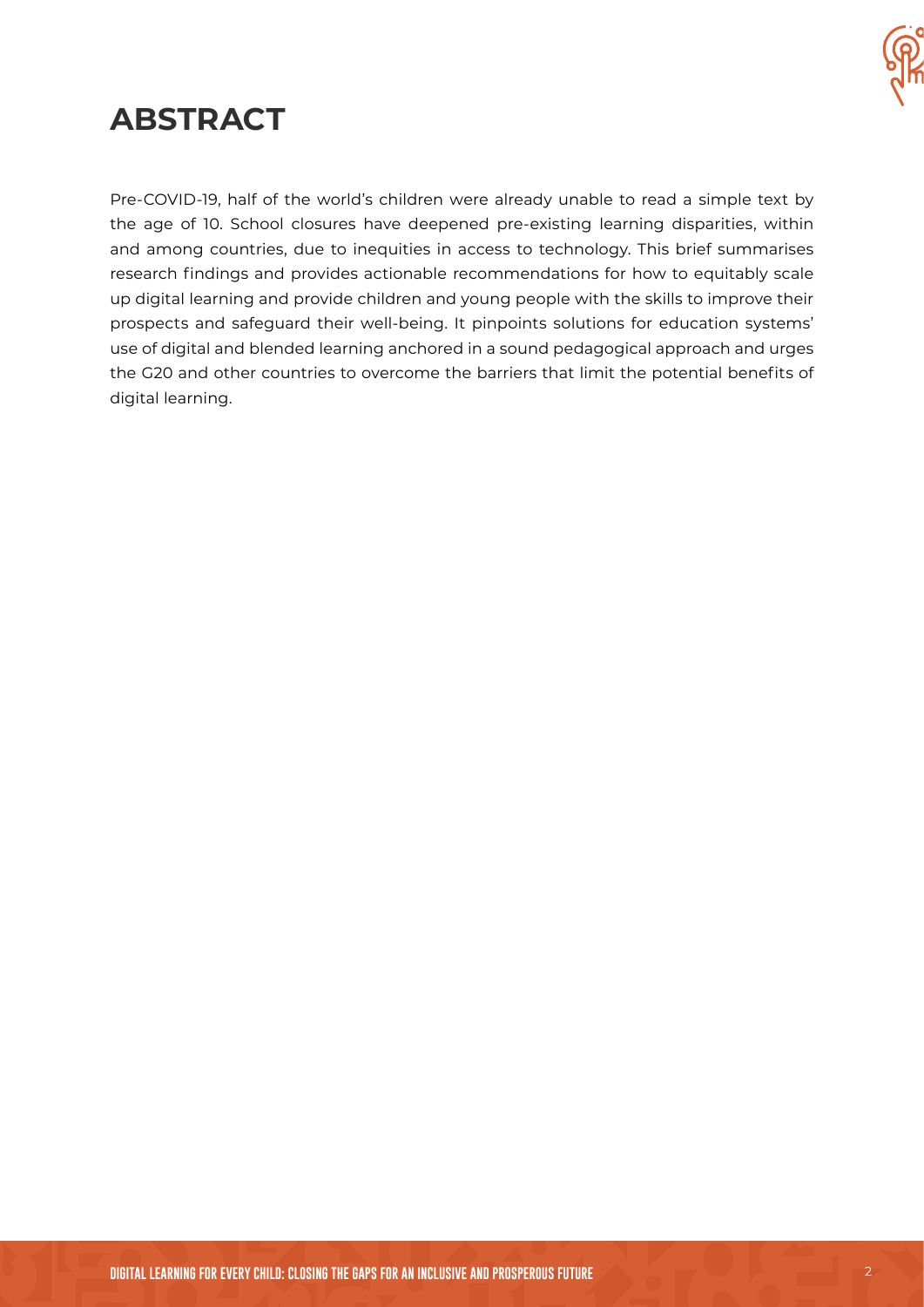

## **ABSTRACT**

Pre-COVID-19, half of the world's children were already unable to read a simple text by the age of 10. School closures have deepened pre-existing learning disparities, within and among countries, due to inequities in access to technology. This brief summarises research findings and provides actionable recommendations for how to equitably scale up digital learning and provide children and young people with the skills to improve their prospects and safeguard their well-being. It pinpoints solutions for education systems' use of digital and blended learning anchored in a sound pedagogical approach and urges the G20 and other countries to overcome the barriers that limit the potential benefits of digital learning.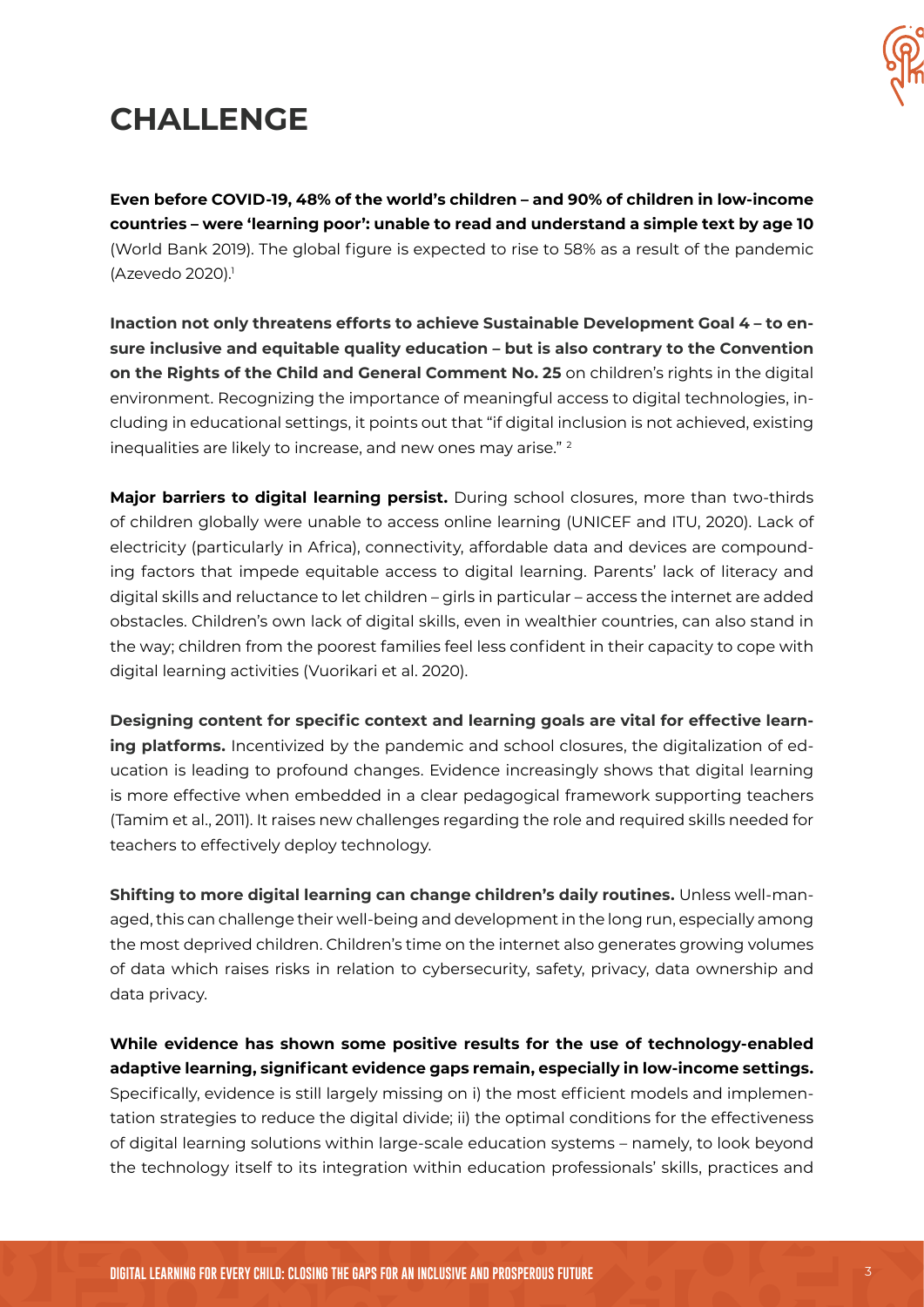

# **CHALLENGE**

**Even before COVID-19, 48% of the world's children – and 90% of children in low-income countries – were 'learning poor': unable to read and understand a simple text by age 10**  (World Bank 2019). The global figure is expected to rise to 58% as a result of the pandemic (Azevedo 2020).<sup>1</sup>

**Inaction not only threatens efforts to achieve Sustainable Development Goal 4 – to ensure inclusive and equitable quality education – but is also contrary to the Convention on the Rights of the Child and General Comment No. 25** on children's rights in the digital environment. Recognizing the importance of meaningful access to digital technologies, including in educational settings, it points out that "if digital inclusion is not achieved, existing inequalities are likely to increase, and new ones may arise." <sup>2</sup>

**Major barriers to digital learning persist.** During school closures, more than two-thirds of children globally were unable to access online learning (UNICEF and ITU, 2020). Lack of electricity (particularly in Africa), connectivity, affordable data and devices are compounding factors that impede equitable access to digital learning. Parents' lack of literacy and digital skills and reluctance to let children – girls in particular – access the internet are added obstacles. Children's own lack of digital skills, even in wealthier countries, can also stand in the way; children from the poorest families feel less confident in their capacity to cope with digital learning activities (Vuorikari et al. 2020).

**Designing content for specific context and learning goals are vital for effective learning platforms.** Incentivized by the pandemic and school closures, the digitalization of education is leading to profound changes. Evidence increasingly shows that digital learning is more effective when embedded in a clear pedagogical framework supporting teachers (Tamim et al., 2011). It raises new challenges regarding the role and required skills needed for teachers to effectively deploy technology.

**Shifting to more digital learning can change children's daily routines.** Unless well-managed, this can challenge their well-being and development in the long run, especially among the most deprived children. Children's time on the internet also generates growing volumes of data which raises risks in relation to cybersecurity, safety, privacy, data ownership and data privacy.

**While evidence has shown some positive results for the use of technology-enabled adaptive learning, significant evidence gaps remain, especially in low-income settings.**  Specifically, evidence is still largely missing on i) the most efficient models and implementation strategies to reduce the digital divide; ii) the optimal conditions for the effectiveness of digital learning solutions within large-scale education systems – namely, to look beyond the technology itself to its integration within education professionals' skills, practices and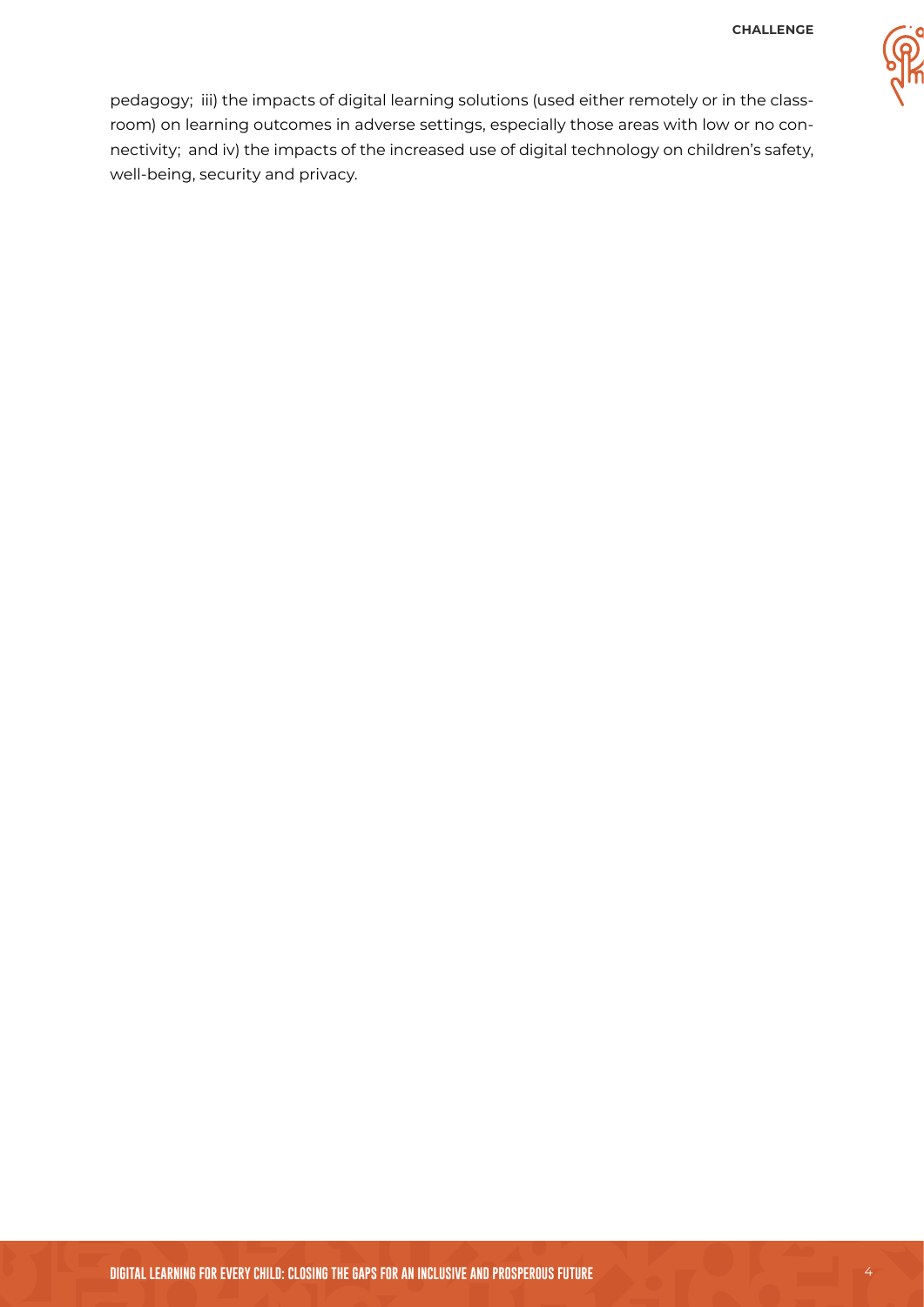

pedagogy; iii) the impacts of digital learning solutions (used either remotely or in the classroom) on learning outcomes in adverse settings, especially those areas with low or no connectivity; and iv) the impacts of the increased use of digital technology on children's safety, well-being, security and privacy.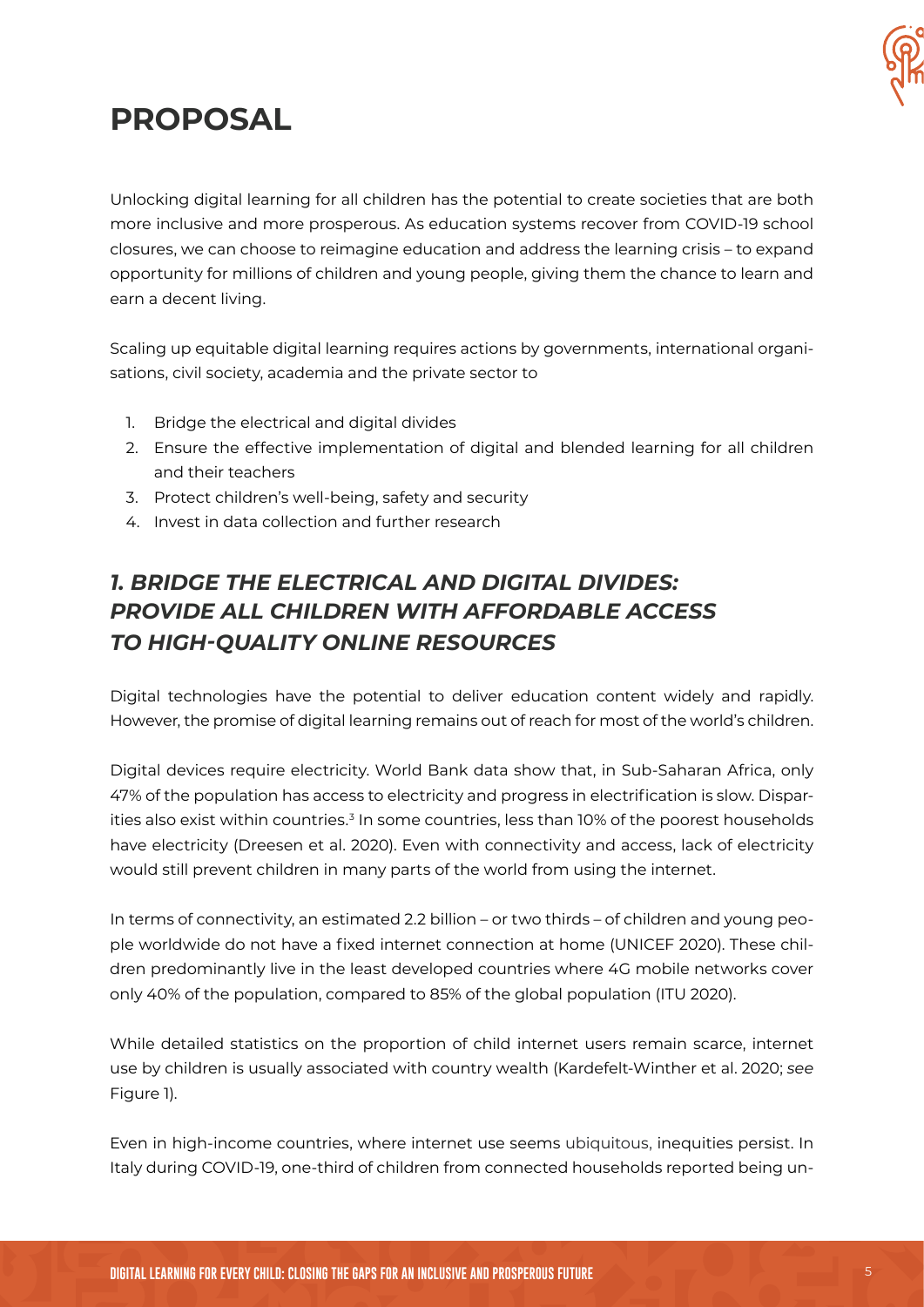

# **PROPOSAL**

Unlocking digital learning for all children has the potential to create societies that are both more inclusive and more prosperous. As education systems recover from COVID-19 school closures, we can choose to reimagine education and address the learning crisis – to expand opportunity for millions of children and young people, giving them the chance to learn and earn a decent living.

Scaling up equitable digital learning requires actions by governments, international organisations, civil society, academia and the private sector to

- 1. Bridge the electrical and digital divides
- 2. Ensure the effective implementation of digital and blended learning for all children and their teachers
- 3. Protect children's well-being, safety and security
- 4. Invest in data collection and further research

## *1. BRIDGE THE ELECTRICAL AND DIGITAL DIVIDES: PROVIDE ALL CHILDREN WITH AFFORDABLE ACCESS TO HIGH-QUALITY ONLINE RESOURCES*

Digital technologies have the potential to deliver education content widely and rapidly. However, the promise of digital learning remains out of reach for most of the world's children.

Digital devices require electricity. World Bank data show that, in Sub-Saharan Africa, only 47% of the population has access to electricity and progress in electrification is slow. Disparities also exist within countries.<sup>3</sup> In some countries, less than 10% of the poorest households have electricity (Dreesen et al. 2020). Even with connectivity and access, lack of electricity would still prevent children in many parts of the world from using the internet.

In terms of connectivity, an estimated 2.2 billion – or two thirds – of children and young people worldwide do not have a fixed internet connection at home (UNICEF 2020). These children predominantly live in the least developed countries where 4G mobile networks cover only 40% of the population, compared to 85% of the global population (ITU 2020).

While detailed statistics on the proportion of child internet users remain scarce, internet use by children is usually associated with country wealth (Kardefelt-Winther et al. 2020; *see*  Figure 1).

Even in high-income countries, where internet use seems ubiquitous, inequities persist. In Italy during COVID-19, one-third of children from connected households reported being un-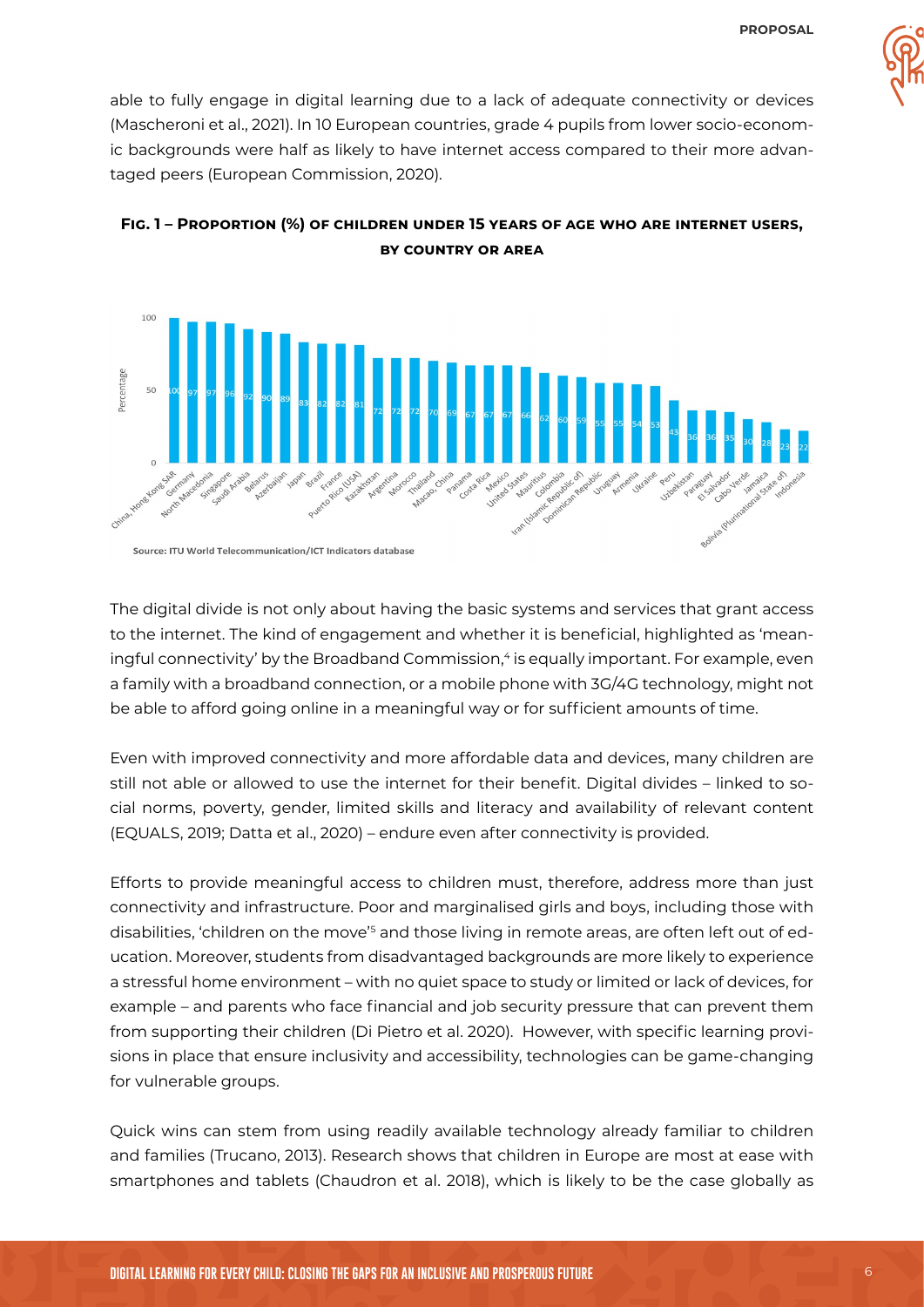

able to fully engage in digital learning due to a lack of adequate connectivity or devices (Mascheroni et al., 2021). In 10 European countries, grade 4 pupils from lower socio-economic backgrounds were half as likely to have internet access compared to their more advantaged peers (European Commission, 2020).



#### **Fig. 1 – Proportion (%) of children under 15 years of age who are internet users, by country or area**

The digital divide is not only about having the basic systems and services that grant access to the internet. The kind of engagement and whether it is beneficial, highlighted as 'meaningful connectivity' by the Broadband Commission,<sup>4</sup> is equally important. For example, even a family with a broadband connection, or a mobile phone with 3G/4G technology, might not be able to afford going online in a meaningful way or for sufficient amounts of time.

Even with improved connectivity and more affordable data and devices, many children are still not able or allowed to use the internet for their benefit. Digital divides – linked to social norms, poverty, gender, limited skills and literacy and availability of relevant content (EQUALS, 2019; Datta et al., 2020) – endure even after connectivity is provided.

Efforts to provide meaningful access to children must, therefore, address more than just connectivity and infrastructure. Poor and marginalised girls and boys, including those with disabilities, 'children on the move'<sup>s</sup> and those living in remote areas, are often left out of education. Moreover, students from disadvantaged backgrounds are more likely to experience a stressful home environment – with no quiet space to study or limited or lack of devices, for example – and parents who face financial and job security pressure that can prevent them from supporting their children (Di Pietro et al. 2020). However, with specific learning provisions in place that ensure inclusivity and accessibility, technologies can be game-changing for vulnerable groups.

Quick wins can stem from using readily available technology already familiar to children and families (Trucano, 2013). Research shows that children in Europe are most at ease with smartphones and tablets (Chaudron et al. 2018), which is likely to be the case globally as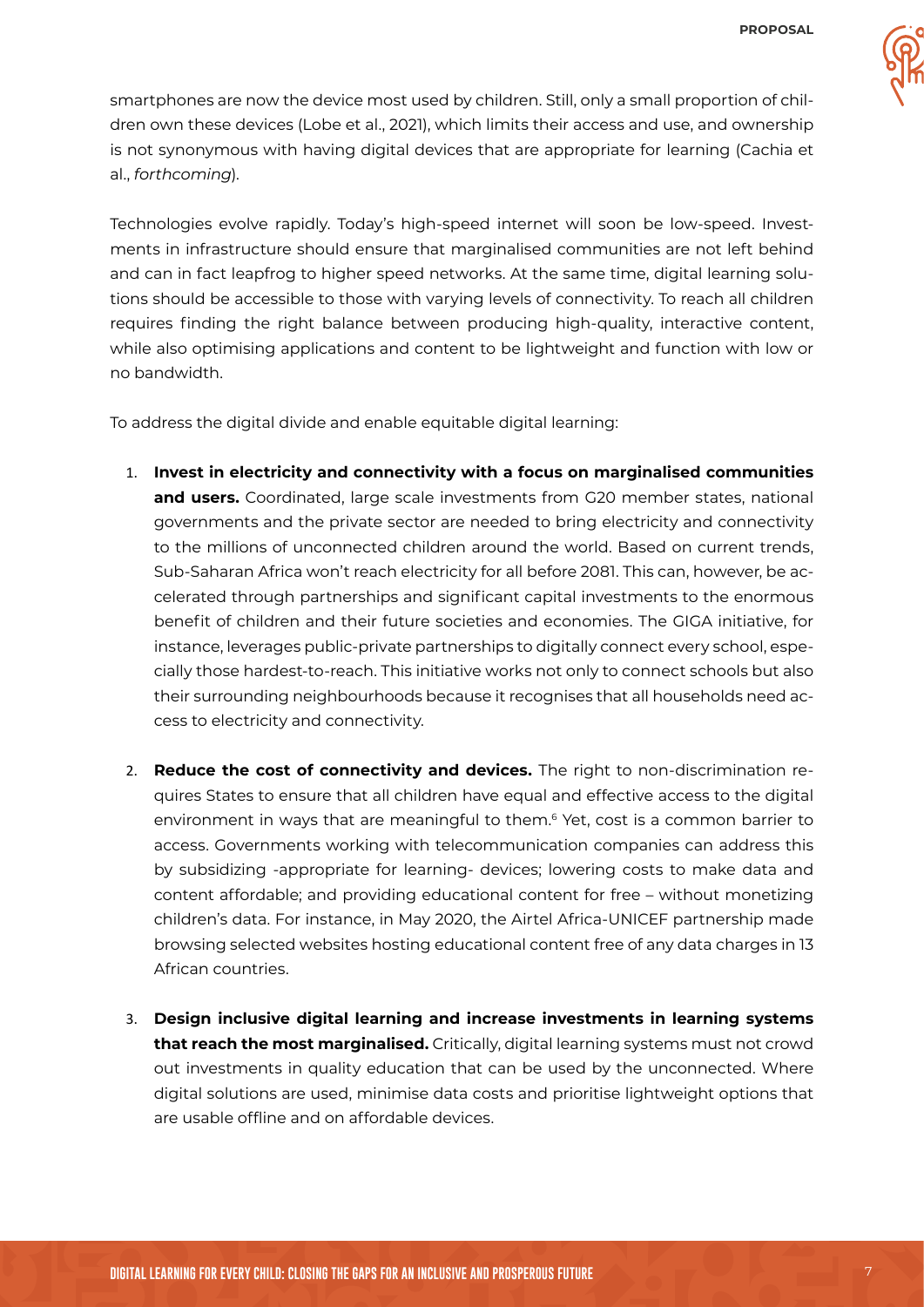

smartphones are now the device most used by children. Still, only a small proportion of children own these devices (Lobe et al., 2021), which limits their access and use, and ownership is not synonymous with having digital devices that are appropriate for learning (Cachia et al., *forthcoming*).

Technologies evolve rapidly. Today's high-speed internet will soon be low-speed. Investments in infrastructure should ensure that marginalised communities are not left behind and can in fact leapfrog to higher speed networks. At the same time, digital learning solutions should be accessible to those with varying levels of connectivity. To reach all children requires finding the right balance between producing high-quality, interactive content, while also optimising applications and content to be lightweight and function with low or no bandwidth.

To address the digital divide and enable equitable digital learning:

- 1. **Invest in electricity and connectivity with a focus on marginalised communities and users.** Coordinated, large scale investments from G20 member states, national governments and the private sector are needed to bring electricity and connectivity to the millions of unconnected children around the world. Based on current trends, Sub-Saharan Africa won't reach electricity for all before 2081. This can, however, be accelerated through partnerships and significant capital investments to the enormous benefit of children and their future societies and economies. The GIGA initiative, for instance, leverages public-private partnerships to digitally connect every school, especially those hardest-to-reach. This initiative works not only to connect schools but also their surrounding neighbourhoods because it recognises that all households need access to electricity and connectivity.
- 2. **Reduce the cost of connectivity and devices.** The right to non-discrimination requires States to ensure that all children have equal and effective access to the digital environment in ways that are meaningful to them.<sup>6</sup> Yet, cost is a common barrier to access. Governments working with telecommunication companies can address this by subsidizing -appropriate for learning- devices; lowering costs to make data and content affordable; and providing educational content for free – without monetizing children's data. For instance, in May 2020, the Airtel Africa-UNICEF partnership made browsing selected websites hosting educational content free of any data charges in 13 African countries.
- 3. **Design inclusive digital learning and increase investments in learning systems that reach the most marginalised.** Critically, digital learning systems must not crowd out investments in quality education that can be used by the unconnected. Where digital solutions are used, minimise data costs and prioritise lightweight options that are usable offline and on affordable devices.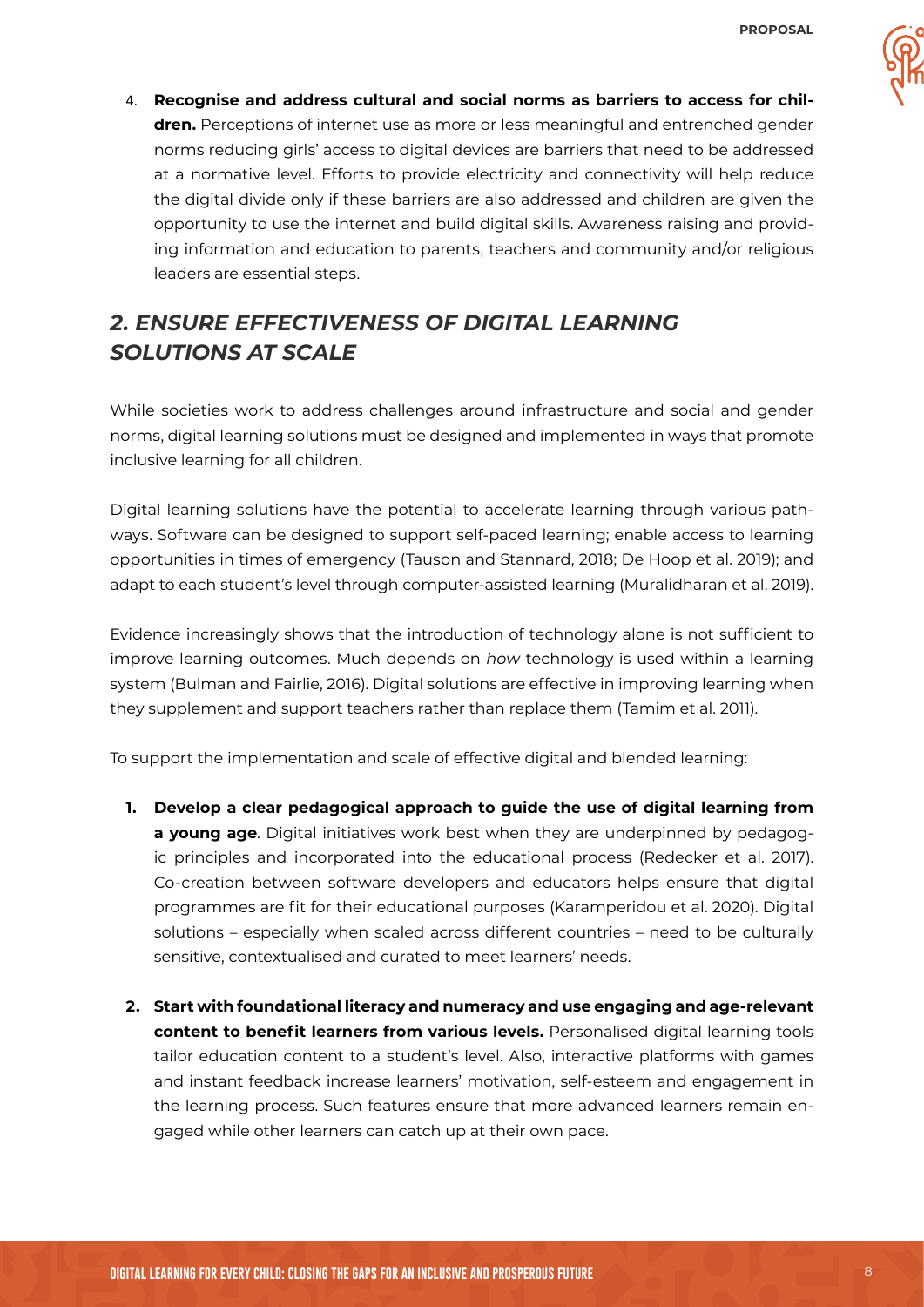

4. **Recognise and address cultural and social norms as barriers to access for children.** Perceptions of internet use as more or less meaningful and entrenched gender norms reducing girls' access to digital devices are barriers that need to be addressed at a normative level. Efforts to provide electricity and connectivity will help reduce the digital divide only if these barriers are also addressed and children are given the opportunity to use the internet and build digital skills. Awareness raising and providing information and education to parents, teachers and community and/or religious leaders are essential steps.

## *2. ENSURE EFFECTIVENESS OF DIGITAL LEARNING SOLUTIONS AT SCALE*

While societies work to address challenges around infrastructure and social and gender norms, digital learning solutions must be designed and implemented in ways that promote inclusive learning for all children.

Digital learning solutions have the potential to accelerate learning through various pathways. Software can be designed to support self-paced learning; enable access to learning opportunities in times of emergency (Tauson and Stannard, 2018; De Hoop et al. 2019); and adapt to each student's level through computer-assisted learning (Muralidharan et al. 2019).

Evidence increasingly shows that the introduction of technology alone is not sufficient to improve learning outcomes. Much depends on *how* technology is used within a learning system (Bulman and Fairlie, 2016). Digital solutions are effective in improving learning when they supplement and support teachers rather than replace them (Tamim et al. 2011).

To support the implementation and scale of effective digital and blended learning:

- **1. Develop a clear pedagogical approach to guide the use of digital learning from a young age**. Digital initiatives work best when they are underpinned by pedagogic principles and incorporated into the educational process (Redecker et al. 2017). Co-creation between software developers and educators helps ensure that digital programmes are fit for their educational purposes (Karamperidou et al. 2020). Digital solutions – especially when scaled across different countries – need to be culturally sensitive, contextualised and curated to meet learners' needs.
- **2. Start with foundational literacy and numeracy and use engaging and age-relevant content to benefit learners from various levels.** Personalised digital learning tools tailor education content to a student's level. Also, interactive platforms with games and instant feedback increase learners' motivation, self-esteem and engagement in the learning process. Such features ensure that more advanced learners remain engaged while other learners can catch up at their own pace.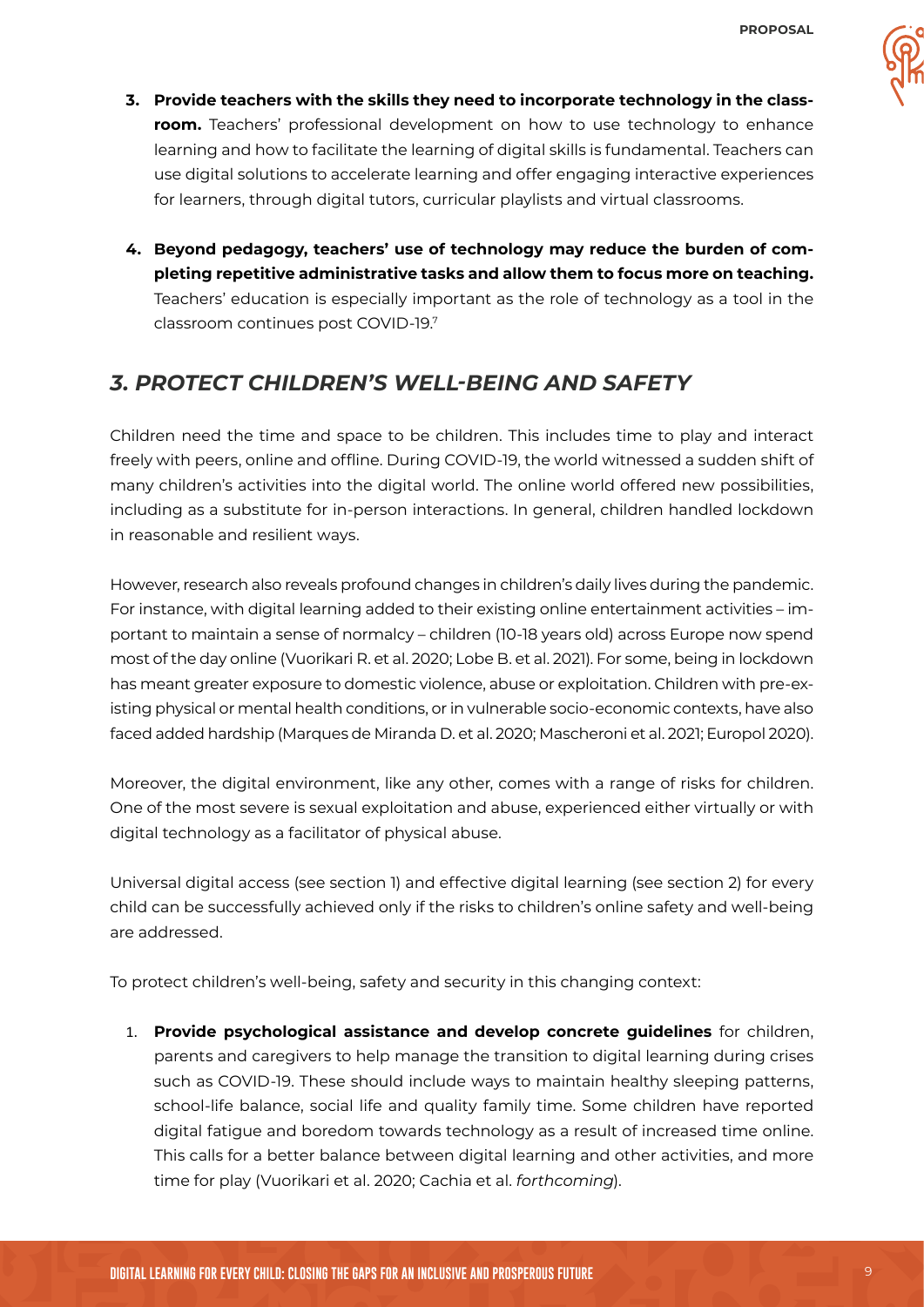- **3. Provide teachers with the skills they need to incorporate technology in the classroom.** Teachers' professional development on how to use technology to enhance learning and how to facilitate the learning of digital skills is fundamental. Teachers can use digital solutions to accelerate learning and offer engaging interactive experiences for learners, through digital tutors, curricular playlists and virtual classrooms.
- **4. Beyond pedagogy, teachers' use of technology may reduce the burden of completing repetitive administrative tasks and allow them to focus more on teaching.** Teachers' education is especially important as the role of technology as a tool in the classroom continues post COVID-19.<sup>7</sup>

#### *3. PROTECT CHILDREN'S WELL-BEING AND SAFETY*

Children need the time and space to be children. This includes time to play and interact freely with peers, online and offline. During COVID-19, the world witnessed a sudden shift of many children's activities into the digital world. The online world offered new possibilities, including as a substitute for in-person interactions. In general, children handled lockdown in reasonable and resilient ways.

However, research also reveals profound changes in children's daily lives during the pandemic. For instance, with digital learning added to their existing online entertainment activities – important to maintain a sense of normalcy – children (10-18 years old) across Europe now spend most of the day online (Vuorikari R. et al. 2020; Lobe B. et al. 2021). For some, being in lockdown has meant greater exposure to domestic violence, abuse or exploitation. Children with pre-existing physical or mental health conditions, or in vulnerable socio-economic contexts, have also faced added hardship (Marques de Miranda D. et al. 2020; Mascheroni et al. 2021; Europol 2020).

Moreover, the digital environment, like any other, comes with a range of risks for children. One of the most severe is sexual exploitation and abuse, experienced either virtually or with digital technology as a facilitator of physical abuse.

Universal digital access (see section 1) and effective digital learning (see section 2) for every child can be successfully achieved only if the risks to children's online safety and well-being are addressed.

To protect children's well-being, safety and security in this changing context:

1. **Provide psychological assistance and develop concrete guidelines** for children, parents and caregivers to help manage the transition to digital learning during crises such as COVID-19. These should include ways to maintain healthy sleeping patterns, school-life balance, social life and quality family time. Some children have reported digital fatigue and boredom towards technology as a result of increased time online. This calls for a better balance between digital learning and other activities, and more time for play (Vuorikari et al. 2020; Cachia et al. *forthcoming*).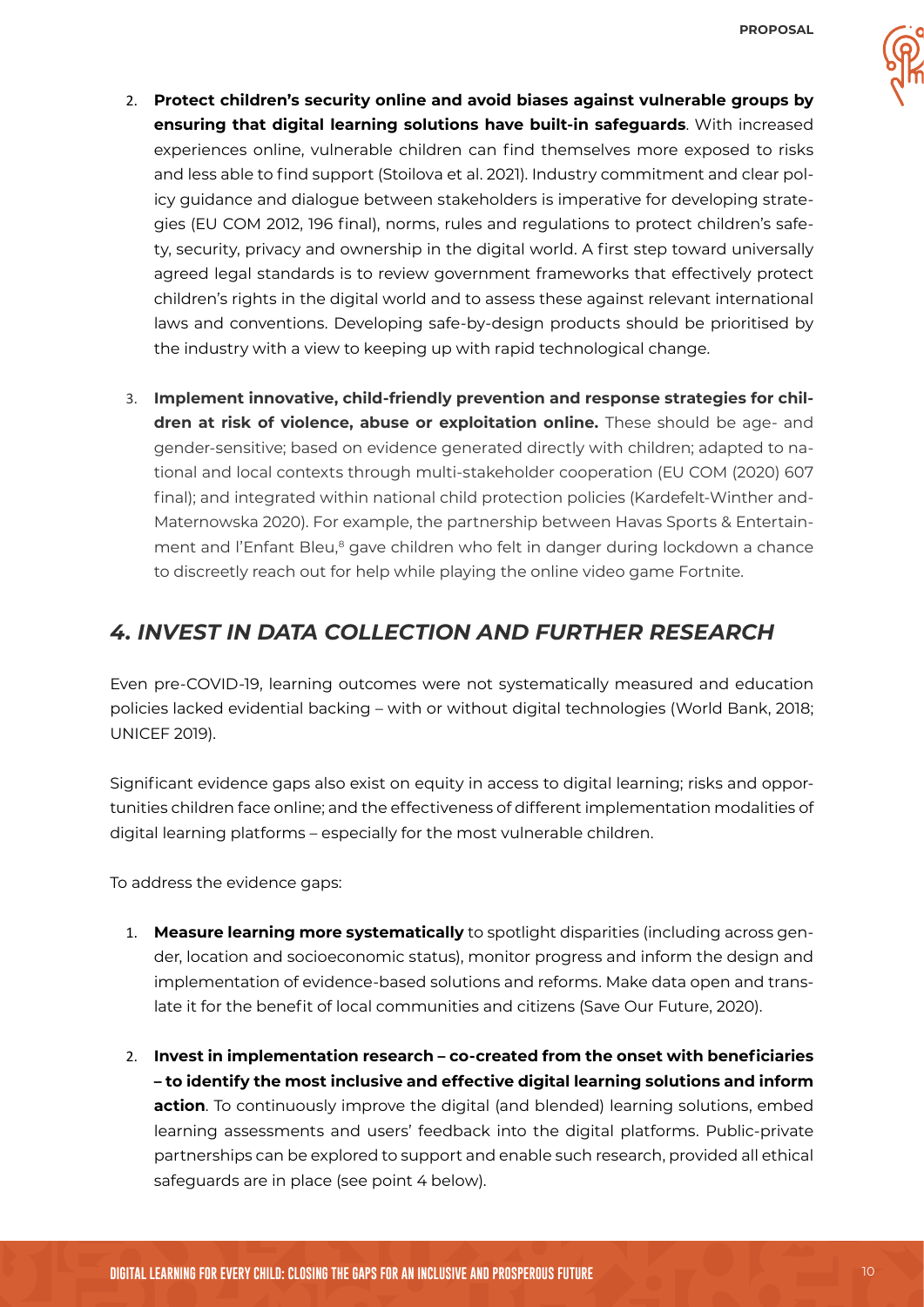- 
- 2. **Protect children's security online and avoid biases against vulnerable groups by ensuring that digital learning solutions have built-in safeguards**. With increased experiences online, vulnerable children can find themselves more exposed to risks and less able to find support (Stoilova et al. 2021). Industry commitment and clear policy guidance and dialogue between stakeholders is imperative for developing strategies (EU COM 2012, 196 final), norms, rules and regulations to protect children's safety, security, privacy and ownership in the digital world. A first step toward universally agreed legal standards is to review government frameworks that effectively protect children's rights in the digital world and to assess these against relevant international laws and conventions. Developing safe-by-design products should be prioritised by the industry with a view to keeping up with rapid technological change.
- 3. **Implement innovative, child-friendly prevention and response strategies for children at risk of violence, abuse or exploitation online.** These should be age- and gender-sensitive; based on evidence generated directly with children; adapted to national and local contexts through multi-stakeholder cooperation (EU COM (2020) 607 final); and integrated within national child protection policies (Kardefelt-Winther and-Maternowska 2020). For example, the partnership between Havas Sports & Entertainment and l'Enfant Bleu,<sup>8</sup> gave children who felt in danger during lockdown a chance to discreetly reach out for help while playing the online video game Fortnite.

### *4. INVEST IN DATA COLLECTION AND FURTHER RESEARCH*

Even pre-COVID-19, learning outcomes were not systematically measured and education policies lacked evidential backing – with or without digital technologies (World Bank, 2018; UNICEF 2019).

Significant evidence gaps also exist on equity in access to digital learning; risks and opportunities children face online; and the effectiveness of different implementation modalities of digital learning platforms – especially for the most vulnerable children.

To address the evidence gaps:

- 1. **Measure learning more systematically** to spotlight disparities (including across gender, location and socioeconomic status), monitor progress and inform the design and implementation of evidence-based solutions and reforms. Make data open and translate it for the benefit of local communities and citizens (Save Our Future, 2020).
- 2. **Invest in implementation research co-created from the onset with beneficiaries – to identify the most inclusive and effective digital learning solutions and inform action**. To continuously improve the digital (and blended) learning solutions, embed learning assessments and users' feedback into the digital platforms. Public-private partnerships can be explored to support and enable such research, provided all ethical safeguards are in place (see point 4 below).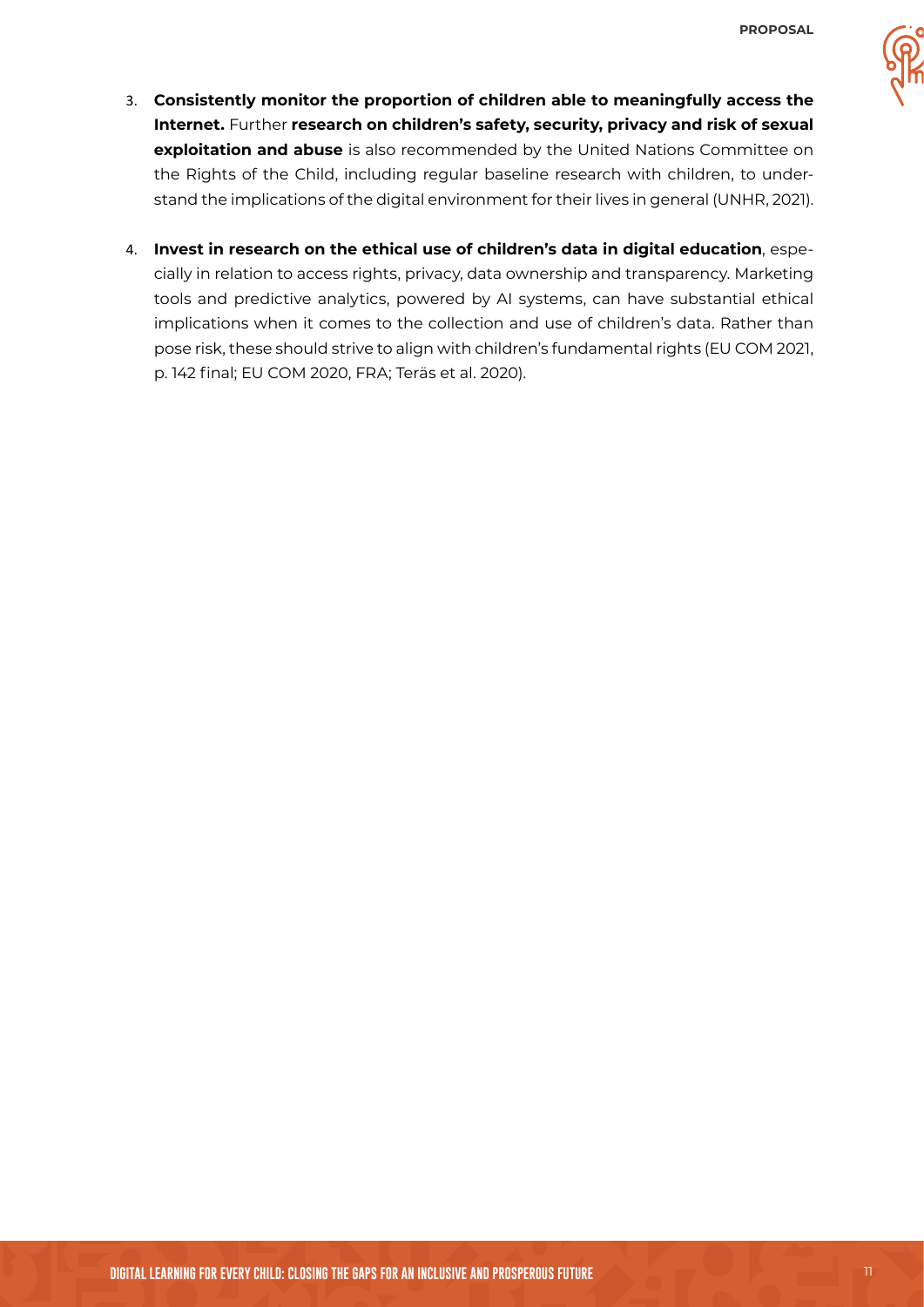- 
- 3. **Consistently monitor the proportion of children able to meaningfully access the Internet.** Further **research on children's safety, security, privacy and risk of sexual exploitation and abuse** is also recommended by the United Nations Committee on the Rights of the Child, including regular baseline research with children, to understand the implications of the digital environment for their lives in general (UNHR, 2021).
- 4. **Invest in research on the ethical use of children's data in digital education**, especially in relation to access rights, privacy, data ownership and transparency. Marketing tools and predictive analytics, powered by AI systems, can have substantial ethical implications when it comes to the collection and use of children's data. Rather than pose risk, these should strive to align with children's fundamental rights (EU COM 2021, p. 142 final; EU COM 2020, FRA; Teräs et al. 2020).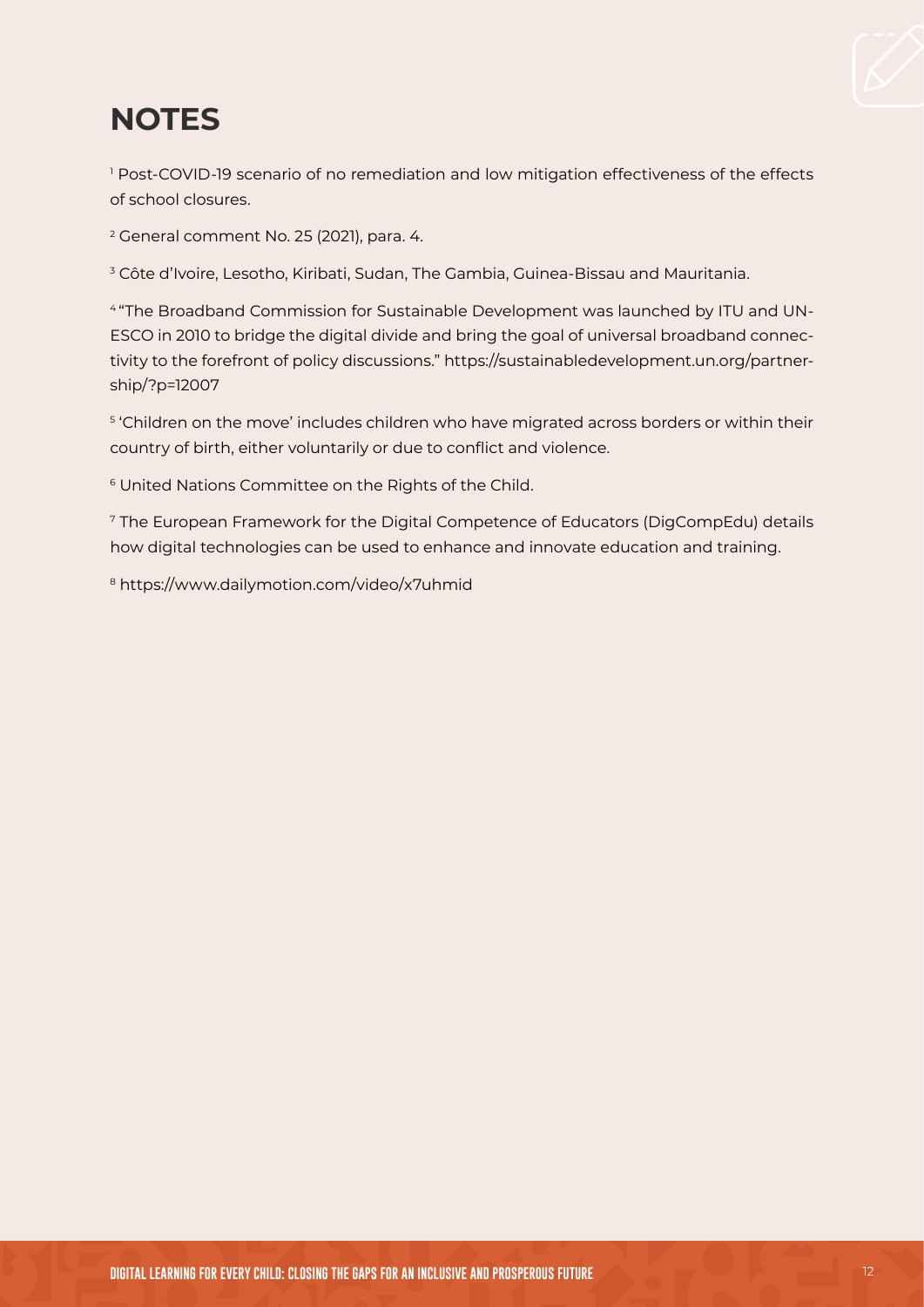

## **NOTES**

1 Post-COVID-19 scenario of no remediation and low mitigation effectiveness of the effects of school closures.

2 General comment No. 25 (2021), para. 4.

3 Côte d'Ivoire, Lesotho, Kiribati, Sudan, The Gambia, Guinea-Bissau and Mauritania.

4 "The Broadband Commission for Sustainable Development was launched by ITU and UN-ESCO in 2010 to bridge the digital divide and bring the goal of universal broadband connectivity to the forefront of policy discussions." [https://sustainabledevelopment.un.org/partner](https://sustainabledevelopment.un.org/partnership/?p=12007)[ship/?p=12007](https://sustainabledevelopment.un.org/partnership/?p=12007)

 $^{\rm 5}$  'Children on the move' includes children who have migrated across borders or within their country of birth, either voluntarily or due to conflict and violence.

<sup>6</sup> United Nations Committee on the Rights of the Child.

<sup>7</sup> The European Framework for the Digital Competence of Educators (DigCompEdu) details how digital technologies can be used to enhance and innovate education and training.

<sup>8</sup> [https://www.dailymotion.com/video/x7uhmid](https://www.dailymotion.com/video/x7uhmid )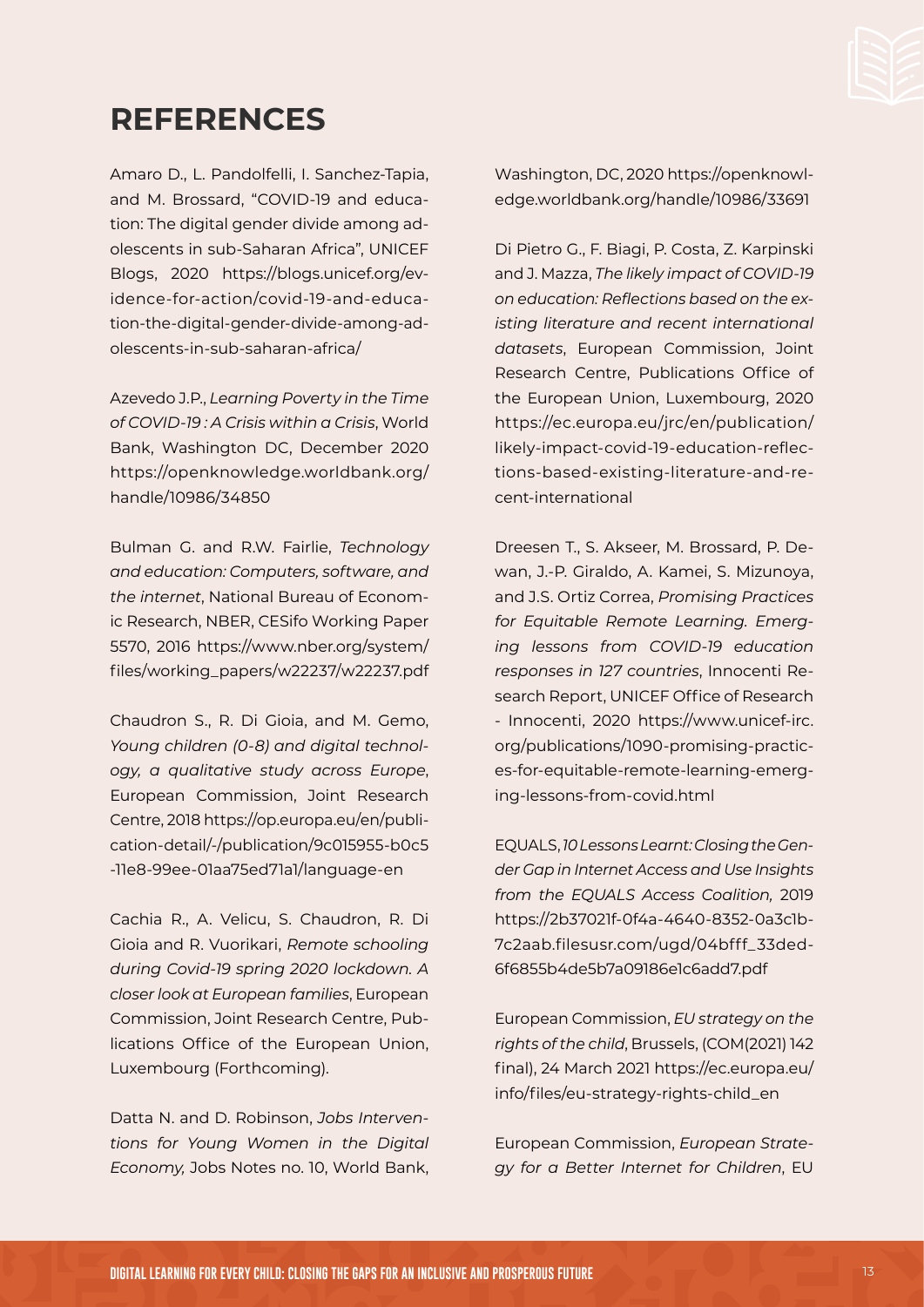

## **REFERENCES**

Amaro D., L. Pandolfelli, I. Sanchez-Tapia, and M. Brossard, "COVID-19 and education: The digital gender divide among adolescents in sub-Saharan Africa", UNICEF Blogs, 2020 [https://blogs.unicef.org/ev](https://blogs.unicef.org/evidence-for-action/covid-19-and-education-the-digital-gender-divide-among-adolescents-in-sub-saharan-africa/)[idence-for-action/covid-19-and-educa](https://blogs.unicef.org/evidence-for-action/covid-19-and-education-the-digital-gender-divide-among-adolescents-in-sub-saharan-africa/)[tion-the-digital-gender-divide-among-ad](https://blogs.unicef.org/evidence-for-action/covid-19-and-education-the-digital-gender-divide-among-adolescents-in-sub-saharan-africa/)[olescents-in-sub-saharan-africa/](https://blogs.unicef.org/evidence-for-action/covid-19-and-education-the-digital-gender-divide-among-adolescents-in-sub-saharan-africa/)

Azevedo J.P., *Learning Poverty in the Time of COVID-19 : A Crisis within a Crisis*, World Bank, Washington DC, December 2020 [https://openknowledge.worldbank.org/](https://openknowledge.worldbank.org/handle/10986/34850) [handle/10986/34850](https://openknowledge.worldbank.org/handle/10986/34850)

Bulman G. and R.W. Fairlie, *Technology and education: Computers, software, and the internet*, National Bureau of Economic Research, NBER, CESifo Working Paper 5570, 2016 [https://www.nber.org/system/](https://www.nber.org/system/files/working_papers/w22237/w22237.pdf) [files/working\\_papers/w22237/w22237.pdf](https://www.nber.org/system/files/working_papers/w22237/w22237.pdf)

Chaudron S., R. Di Gioia, and M. Gemo, *Young children (0-8) and digital technology, a qualitative study across Europe*, European Commission, Joint Research Centre, 2018 [https://op.europa.eu/en/publi](https://op.europa.eu/en/publication-detail/-/publication/9c015955-b0c5-11e8-99ee-01aa75ed71a1/language-en)[cation-detail/-/publication/9c015955-b0c5](https://op.europa.eu/en/publication-detail/-/publication/9c015955-b0c5-11e8-99ee-01aa75ed71a1/language-en) [-11e8-99ee-01aa75ed71a1/language-en](https://op.europa.eu/en/publication-detail/-/publication/9c015955-b0c5-11e8-99ee-01aa75ed71a1/language-en)

Cachia R., A. Velicu, S. Chaudron, R. Di Gioia and R. Vuorikari, *Remote schooling during Covid-19 spring 2020 lockdown. A closer look at European families*, European Commission, Joint Research Centre, Publications Office of the European Union, Luxembourg (Forthcoming).

Datta N. and D. Robinson, *Jobs Interventions for Young Women in the Digital Economy,* Jobs Notes no. 10, World Bank,

Washington, DC, 2020 [https://openknowl](https://openknowledge.worldbank.org/handle/10986/33691)[edge.worldbank.org/handle/10986/33691](https://openknowledge.worldbank.org/handle/10986/33691)

Di Pietro G., F. Biagi, P. Costa, Z. Karpinski and J. Mazza, *The likely impact of COVID-19 on education: Reflections based on the existing literature and recent international datasets*, European Commission, Joint Research Centre, Publications Office of the European Union, Luxembourg, 2020 [https://ec.europa.eu/jrc/en/publication/](https://ec.europa.eu/jrc/en/publication/likely-impact-covid-19-education-reflections-based-existing-literature-and-recent-international) [likely-impact-covid-19-education-reflec](https://ec.europa.eu/jrc/en/publication/likely-impact-covid-19-education-reflections-based-existing-literature-and-recent-international)[tions-based-existing-literature-and-re](https://ec.europa.eu/jrc/en/publication/likely-impact-covid-19-education-reflections-based-existing-literature-and-recent-international)[cent-international](https://ec.europa.eu/jrc/en/publication/likely-impact-covid-19-education-reflections-based-existing-literature-and-recent-international)

Dreesen T., S. Akseer, M. Brossard, P. Dewan, J.-P. Giraldo, A. Kamei, S. Mizunoya, and J.S. Ortiz Correa, *Promising Practices for Equitable Remote Learning. Emerging lessons from COVID-19 education responses in 127 countries*, Innocenti Research Report, UNICEF Office of Research - Innocenti, 2020 [https://www.unicef-irc.](https://www.unicef-irc.org/publications/1090-promising-practices-for-equitable-remote-learning-emerging-lessons-from-covid.html) [org/publications/1090-promising-practic](https://www.unicef-irc.org/publications/1090-promising-practices-for-equitable-remote-learning-emerging-lessons-from-covid.html)[es-for-equitable-remote-learning-emerg](https://www.unicef-irc.org/publications/1090-promising-practices-for-equitable-remote-learning-emerging-lessons-from-covid.html)[ing-lessons-from-covid.html](https://www.unicef-irc.org/publications/1090-promising-practices-for-equitable-remote-learning-emerging-lessons-from-covid.html)

EQUALS, *10 Lessons Learnt: Closing the Gender Gap in Internet Access and Use Insights from the EQUALS Access Coalition,* 2019 [https://2b37021f-0f4a-4640-8352-0a3c1b](https://2b37021f-0f4a-4640-8352-0a3c1b7c2aab.filesusr.com/ugd/04bfff_33ded6f6855b4de5b7a09186e1c6add7.pdf)-[7c2aab.filesusr.com/ugd/04bfff\\_33ded](https://2b37021f-0f4a-4640-8352-0a3c1b7c2aab.filesusr.com/ugd/04bfff_33ded6f6855b4de5b7a09186e1c6add7.pdf)-[6f6855b4de5b7a09186e1c6add7.pdf](https://2b37021f-0f4a-4640-8352-0a3c1b7c2aab.filesusr.com/ugd/04bfff_33ded6f6855b4de5b7a09186e1c6add7.pdf)

European Commission, *EU strategy on the rights of the child*, Brussels, (COM(2021) 142 final), 24 March 2021 [https://ec.europa.eu/](https://ec.europa.eu/info/files/eu-strategy-rights-child_en) [info/files/eu-strategy-rights-child\\_en](https://ec.europa.eu/info/files/eu-strategy-rights-child_en)

European Commission, *European Strategy for a Better Internet for Children*, EU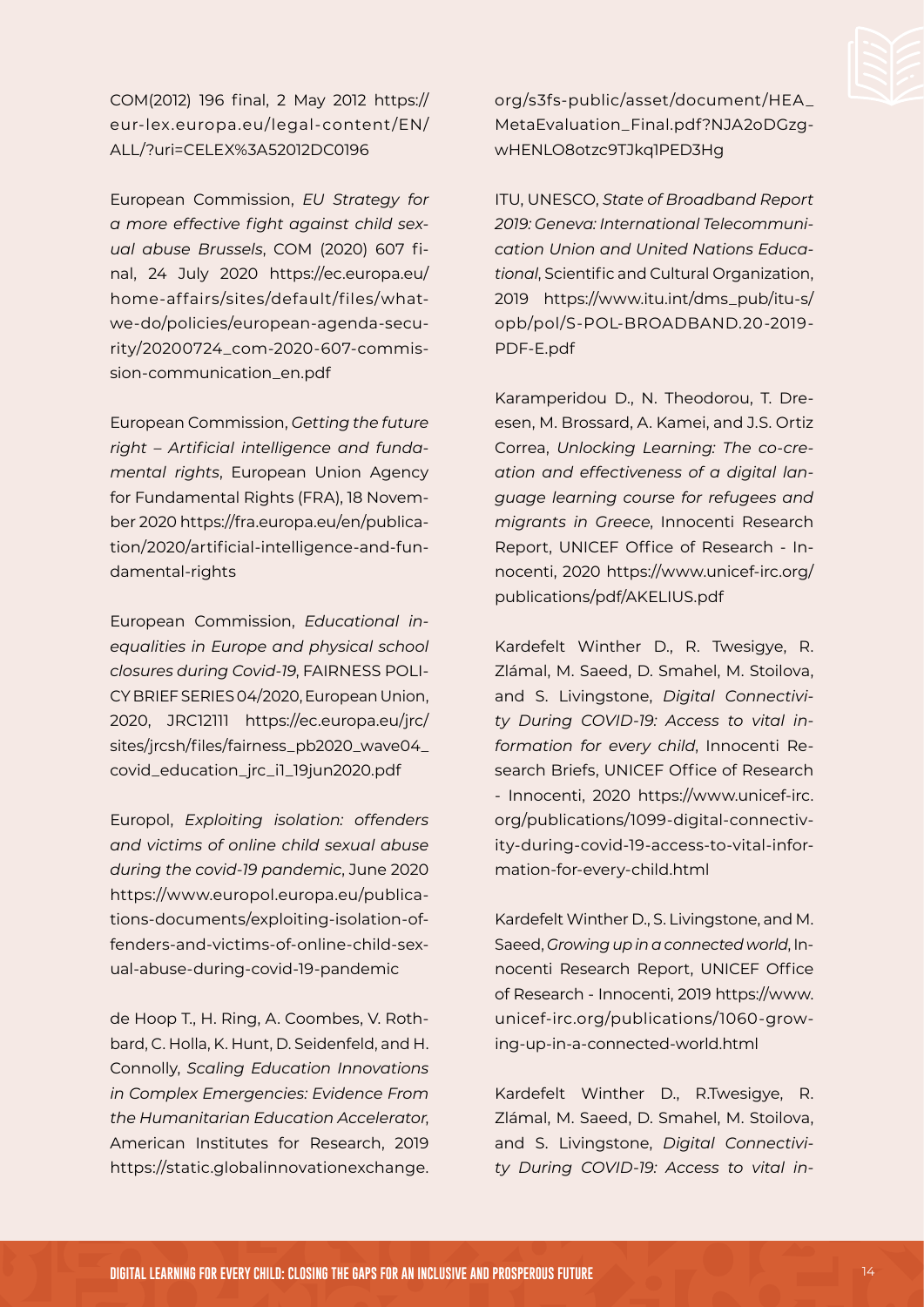COM(2012) 196 final, 2 May 2012 [https://](https://eur-lex.europa.eu/legal-content/EN/ALL/?uri=CELEX%3A52012DC0196) [eur-lex.europa.eu/legal-content/EN/](https://eur-lex.europa.eu/legal-content/EN/ALL/?uri=CELEX%3A52012DC0196) [ALL/?uri=CELEX%3A52012DC0196](https://eur-lex.europa.eu/legal-content/EN/ALL/?uri=CELEX%3A52012DC0196)

European Commission, *EU Strategy for a more effective fight against child sexual abuse Brussels*, COM (2020) 607 final, 24 July 2020 [https://ec.europa.eu/](https://ec.europa.eu/home-affairs/sites/default/files/what-we-do/policies/european-agenda-security/20200724_com-2020-607-commission-communication_en.pdf) [home-affairs/sites/default/files/what](https://ec.europa.eu/home-affairs/sites/default/files/what-we-do/policies/european-agenda-security/20200724_com-2020-607-commission-communication_en.pdf)[we-do/policies/european-agenda-secu](https://ec.europa.eu/home-affairs/sites/default/files/what-we-do/policies/european-agenda-security/20200724_com-2020-607-commission-communication_en.pdf)[rity/20200724\\_com-2020-607-commis](https://ec.europa.eu/home-affairs/sites/default/files/what-we-do/policies/european-agenda-security/20200724_com-2020-607-commission-communication_en.pdf)[sion-communication\\_en.pdf](https://ec.europa.eu/home-affairs/sites/default/files/what-we-do/policies/european-agenda-security/20200724_com-2020-607-commission-communication_en.pdf)

European Commission, *Getting the future right – Artificial intelligence and fundamental rights*, European Union Agency for Fundamental Rights (FRA), 18 November 2020 [https://fra.europa.eu/en/publica](https://fra.europa.eu/en/publication/2020/artificial-intelligence-and-fundamental-rights)[tion/2020/artificial-intelligence-and-fun](https://fra.europa.eu/en/publication/2020/artificial-intelligence-and-fundamental-rights)[damental-rights](https://fra.europa.eu/en/publication/2020/artificial-intelligence-and-fundamental-rights)

European Commission, *Educational inequalities in Europe and physical school closures during Covid-19*, FAIRNESS POLI-CY BRIEF SERIES 04/2020, European Union, 2020, JRC12111 [https://ec.europa.eu/jrc/](https://ec.europa.eu/jrc/sites/jrcsh/files/fairness_pb2020_wave04_covid_education_jrc_i1_19jun2020.pdf) [sites/jrcsh/files/fairness\\_pb2020\\_wave04\\_](https://ec.europa.eu/jrc/sites/jrcsh/files/fairness_pb2020_wave04_covid_education_jrc_i1_19jun2020.pdf) [covid\\_education\\_jrc\\_i1\\_19jun2020.pdf](https://ec.europa.eu/jrc/sites/jrcsh/files/fairness_pb2020_wave04_covid_education_jrc_i1_19jun2020.pdf)

Europol, *Exploiting isolation: offenders and victims of online child sexual abuse during the covid-19 pandemic*, June 2020 [https://www.europol.europa.eu/publica](https://www.europol.europa.eu/publications-documents/exploiting-isolation-offenders-and-victims-of-online-child-sexual-abuse-during-covid-19-pandemic)[tions-documents/exploiting-isolation-of](https://www.europol.europa.eu/publications-documents/exploiting-isolation-offenders-and-victims-of-online-child-sexual-abuse-during-covid-19-pandemic)[fenders-and-victims-of-online-child-sex](https://www.europol.europa.eu/publications-documents/exploiting-isolation-offenders-and-victims-of-online-child-sexual-abuse-during-covid-19-pandemic)[ual-abuse-during-covid-19-pandemic](https://www.europol.europa.eu/publications-documents/exploiting-isolation-offenders-and-victims-of-online-child-sexual-abuse-during-covid-19-pandemic)

de Hoop T., H. Ring, A. Coombes, V. Rothbard, C. Holla, K. Hunt, D. Seidenfeld, and H. Connolly, *Scaling Education Innovations in Complex Emergencies: Evidence From the Humanitarian Education Accelerator*, American Institutes for Research, 2019 [https://static.globalinnovationexchange.](https://static.globalinnovationexchange.org/s3fs-public/asset/document/HEA_MetaEvaluation_Final.pdf?NJA2oDGzgwHENLO8otzc9TJkq1PED3Hg)

[org/s3fs-public/asset/document/HEA\\_](https://static.globalinnovationexchange.org/s3fs-public/asset/document/HEA_MetaEvaluation_Final.pdf?NJA2oDGzgwHENLO8otzc9TJkq1PED3Hg) [MetaEvaluation\\_Final.pdf?NJA2oDGzg](https://static.globalinnovationexchange.org/s3fs-public/asset/document/HEA_MetaEvaluation_Final.pdf?NJA2oDGzgwHENLO8otzc9TJkq1PED3Hg)[wHENLO8otzc9TJkq1PED3Hg](https://static.globalinnovationexchange.org/s3fs-public/asset/document/HEA_MetaEvaluation_Final.pdf?NJA2oDGzgwHENLO8otzc9TJkq1PED3Hg)

ITU, UNESCO, *State of Broadband Report 2019: Geneva: International Telecommunication Union and United Nations Educational*, Scientific and Cultural Organization, 2019 [https://www.itu.int/dms\\_pub/itu-s/](https://www.itu.int/dms_pub/itu-s/opb/pol/S-POL-BROADBAND.20-2019-PDF-E.pdf) [opb/pol/S-POL-BROADBAND.20-2019-](https://www.itu.int/dms_pub/itu-s/opb/pol/S-POL-BROADBAND.20-2019-PDF-E.pdf) [PDF-E.pdf](https://www.itu.int/dms_pub/itu-s/opb/pol/S-POL-BROADBAND.20-2019-PDF-E.pdf)

Karamperidou D., N. Theodorou, T. Dreesen, M. Brossard, A. Kamei, and J.S. Ortiz Correa, *Unlocking Learning: The co-creation and effectiveness of a digital language learning course for refugees and migrants in Greece*, Innocenti Research Report, UNICEF Office of Research - Innocenti, 2020 [https://www.unicef-irc.org/](https://www.unicef-irc.org/publications/pdf/AKELIUS.pdf) [publications/pdf/AKELIUS.pdf](https://www.unicef-irc.org/publications/pdf/AKELIUS.pdf)

Kardefelt Winther D., R. Twesigye, R. Zlámal, M. Saeed, D. Smahel, M. Stoilova, and S. Livingstone, *Digital Connectivity During COVID-19: Access to vital information for every child*, Innocenti Research Briefs, UNICEF Office of Research - Innocenti, 2020 [https://www.unicef-irc.](https://www.unicef-irc.org/publications/1099-digital-connectivity-during-covid-19-access-to-vital-information-for-every-child.html) [org/publications/1099-digital-connectiv](https://www.unicef-irc.org/publications/1099-digital-connectivity-during-covid-19-access-to-vital-information-for-every-child.html)[ity-during-covid-19-access-to-vital-infor](https://www.unicef-irc.org/publications/1099-digital-connectivity-during-covid-19-access-to-vital-information-for-every-child.html)[mation-for-every-child.html](https://www.unicef-irc.org/publications/1099-digital-connectivity-during-covid-19-access-to-vital-information-for-every-child.html)

Kardefelt Winther D., S. Livingstone, and M. Saeed, *Growing up in a connected world*, Innocenti Research Report, UNICEF Office of Research - Innocenti, 2019 [https://www.](https://www.unicef-irc.org/publications/1060-growing-up-in-a-connected-world.html) [unicef-irc.org/publications/1060-grow](https://www.unicef-irc.org/publications/1060-growing-up-in-a-connected-world.html)[ing-up-in-a-connected-world.html](https://www.unicef-irc.org/publications/1060-growing-up-in-a-connected-world.html)

Kardefelt Winther D., R.Twesigye, R. Zlámal, M. Saeed, D. Smahel, M. Stoilova, and S. Livingstone, *Digital Connectivity During COVID-19: Access to vital in-*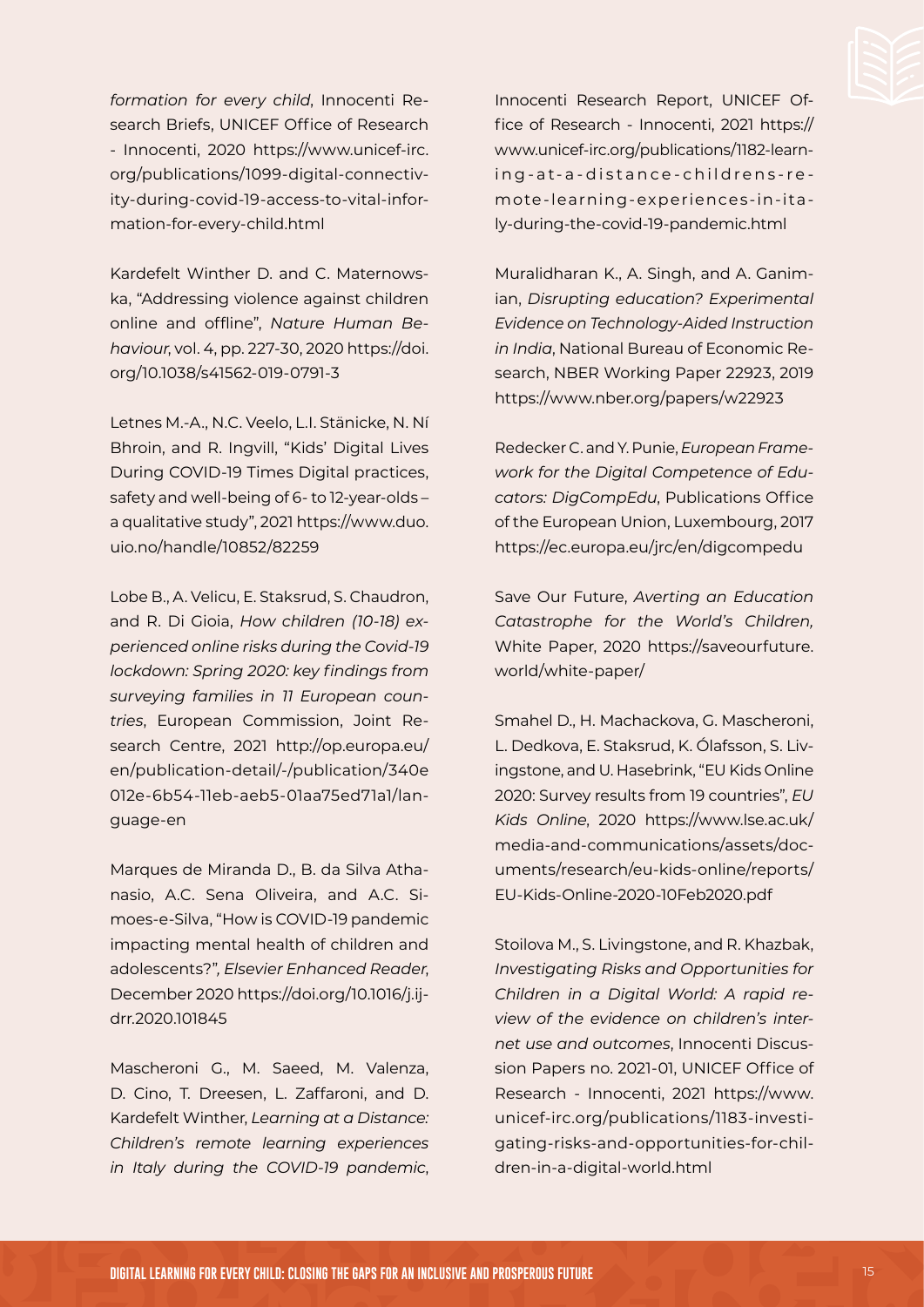*formation for every child*, Innocenti Research Briefs, UNICEF Office of Research - Innocenti, 2020 [https://www.unicef-irc.](https://www.unicef-irc.org/publications/1099-digital-connectivity-during-covid-19-access-to-vital-information-for-every-child.html) [org/publications/1099-digital-connectiv](https://www.unicef-irc.org/publications/1099-digital-connectivity-during-covid-19-access-to-vital-information-for-every-child.html)[ity-during-covid-19-access-to-vital-infor](https://www.unicef-irc.org/publications/1099-digital-connectivity-during-covid-19-access-to-vital-information-for-every-child.html)[mation-for-every-child.html](https://www.unicef-irc.org/publications/1099-digital-connectivity-during-covid-19-access-to-vital-information-for-every-child.html)

Kardefelt Winther D. and C. Maternowska, "Addressing violence against children online and offline", *Nature Human Behaviour*, vol. 4, pp. 227-30, 2020 https://doi. org/10.1038/s41562-019-0791-3

Letnes M.-A., N.C. Veelo, L.I. Stänicke, N. Ní Bhroin, and R. Ingvill, "Kids' Digital Lives During COVID-19 Times Digital practices, safety and well-being of 6- to 12-year-olds – a qualitative study", 2021 [https://www.duo.](https://www.duo.uio.no/handle/10852/82259) [uio.no/handle/10852/82259](https://www.duo.uio.no/handle/10852/82259)

Lobe B., A. Velicu, E. Staksrud, S. Chaudron, and R. Di Gioia, *How children (10-18) experienced online risks during the Covid-19 lockdown: Spring 2020: key findings from surveying families in 11 European countries*, European Commission, Joint Research Centre, 2021 [http://op.europa.eu/](http://op.europa.eu/en/publication-detail/-/publication/340e012e-6b54-11eb-aeb5-01aa75ed71a1/language-en) [en/publication-detail/-/publication/340e](http://op.europa.eu/en/publication-detail/-/publication/340e012e-6b54-11eb-aeb5-01aa75ed71a1/language-en) [012e-6b54-11eb-aeb5-01aa75ed71a1/lan](http://op.europa.eu/en/publication-detail/-/publication/340e012e-6b54-11eb-aeb5-01aa75ed71a1/language-en)[guage-en](http://op.europa.eu/en/publication-detail/-/publication/340e012e-6b54-11eb-aeb5-01aa75ed71a1/language-en)

Marques de Miranda D., B. da Silva Athanasio, A.C. Sena Oliveira, and A.C. Simoes-e-Silva, "How is COVID-19 pandemic impacting mental health of children and adolescents?"*, Elsevier Enhanced Reader*, December 2020 [https://doi.org/10.1016/j.ij](https://doi.org/10.1016/j.ijdrr.2020.101845)[drr.2020.101845](https://doi.org/10.1016/j.ijdrr.2020.101845)

Mascheroni G., M. Saeed, M. Valenza, D. Cino, T. Dreesen, L. Zaffaroni, and D. Kardefelt Winther, *Learning at a Distance: Children's remote learning experiences in Italy during the COVID-19 pandemic*,

Innocenti Research Report, UNICEF Office of Research - Innocenti, 2021 [https://](https://www.unicef-irc.org/publications/1182-learning-at-a-distance-childrens-remote-learning-experiences-in-italy-during-the-covid-19-pandemic.html) [www.unicef-irc.org/publications/1182-learn](https://www.unicef-irc.org/publications/1182-learning-at-a-distance-childrens-remote-learning-experiences-in-italy-during-the-covid-19-pandemic.html)[ing-at-a-distance-childrens-re](https://www.unicef-irc.org/publications/1182-learning-at-a-distance-childrens-remote-learning-experiences-in-italy-during-the-covid-19-pandemic.html) [mote-learning-experiences-in-ita](https://www.unicef-irc.org/publications/1182-learning-at-a-distance-childrens-remote-learning-experiences-in-italy-during-the-covid-19-pandemic.html)[ly-during-the-covid-19-pandemic.html](https://www.unicef-irc.org/publications/1182-learning-at-a-distance-childrens-remote-learning-experiences-in-italy-during-the-covid-19-pandemic.html)

Muralidharan K., A. Singh, and A. Ganimian, *Disrupting education? Experimental Evidence on Technology-Aided Instruction in India*, National Bureau of Economic Research, NBER Working Paper 22923, 2019 <https://www.nber.org/papers/w22923>

Redecker C. and Y. Punie, *European Framework for the Digital Competence of Educators: DigCompEdu*, Publications Office of the European Union, Luxembourg, 2017 <https://ec.europa.eu/jrc/en/digcompedu>

Save Our Future, *Averting an Education Catastrophe for the World's Children,*  White Paper, 2020 [https://saveourfuture.](https://saveourfuture.world/white-paper/) [world/white-paper/](https://saveourfuture.world/white-paper/)

Smahel D., H. Machackova, G. Mascheroni, L. Dedkova, E. Staksrud, K. Ólafsson, S. Livingstone, and U. Hasebrink, "EU Kids Online 2020: Survey results from 19 countries", *EU Kids Online*, 2020 [https://www.lse.ac.uk/](https://www.lse.ac.uk/media-and-communications/assets/documents/research/eu-kids-online/reports/EU-Kids-Online-2020-10Feb2020.pdf) [media-and-communications/assets/doc](https://www.lse.ac.uk/media-and-communications/assets/documents/research/eu-kids-online/reports/EU-Kids-Online-2020-10Feb2020.pdf)[uments/research/eu-kids-online/reports/](https://www.lse.ac.uk/media-and-communications/assets/documents/research/eu-kids-online/reports/EU-Kids-Online-2020-10Feb2020.pdf) [EU-Kids-Online-2020-10Feb2020.pdf](https://www.lse.ac.uk/media-and-communications/assets/documents/research/eu-kids-online/reports/EU-Kids-Online-2020-10Feb2020.pdf)

Stoilova M., S. Livingstone, and R. Khazbak, *Investigating Risks and Opportunities for Children in a Digital World: A rapid review of the evidence on children's internet use and outcomes*, Innocenti Discussion Papers no. 2021-01, UNICEF Office of Research - Innocenti, 2021 [https://www.](https://www.unicef-irc.org/publications/1183-investigating-risks-and-opportunities-for-children-in-a-digital-world.html) [unicef-irc.org/publications/1183-investi](https://www.unicef-irc.org/publications/1183-investigating-risks-and-opportunities-for-children-in-a-digital-world.html)[gating-risks-and-opportunities-for-chil](https://www.unicef-irc.org/publications/1183-investigating-risks-and-opportunities-for-children-in-a-digital-world.html)[dren-in-a-digital-world.html](https://www.unicef-irc.org/publications/1183-investigating-risks-and-opportunities-for-children-in-a-digital-world.html)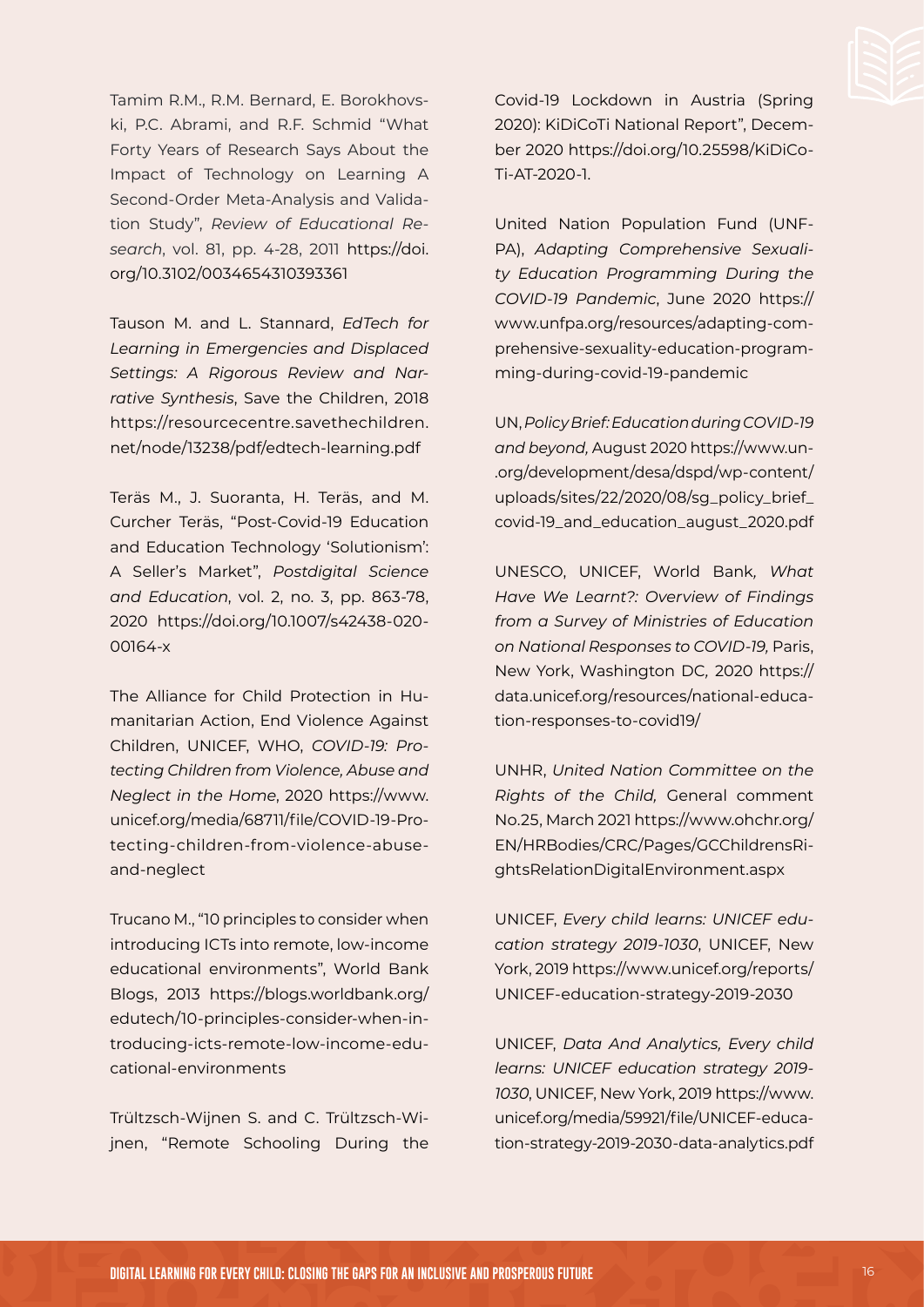Tamim R.M., R.M. Bernard, E. Borokhovski, P.C. Abrami, and R.F. Schmid "What Forty Years of Research Says About the Impact of Technology on Learning A Second-Order Meta-Analysis and Validation Study", *Review of Educational Research*, vol. 81, pp. 4-28, 2011 [https://doi.](https://doi.org/10.3102/0034654310393361) [org/10.3102/0034654310393361](https://doi.org/10.3102/0034654310393361)

Tauson M. and L. Stannard, *EdTech for Learning in Emergencies and Displaced Settings: A Rigorous Review and Narrative Synthesis*, Save the Children, 2018 [https://resourcecentre.savethechildren.](https://resourcecentre.savethechildren.net/node/13238/pdf/edtech-learning.pdf) [net/node/13238/pdf/edtech-learning.pdf](https://resourcecentre.savethechildren.net/node/13238/pdf/edtech-learning.pdf)

Teräs M., J. Suoranta, H. Teräs, and M. Curcher Teräs, "Post-Covid-19 Education and Education Technology 'Solutionism': A Seller's Market", *Postdigital Science and Education*, vol. 2, no. 3, pp. 863-78, 2020 [https://doi.org/10.1007/s42438-020-](https://doi.org/10.1007/s42438-020-00164-x) [00164-x](https://doi.org/10.1007/s42438-020-00164-x)

The Alliance for Child Protection in Humanitarian Action, End Violence Against Children, UNICEF, WHO, *COVID-19: Protecting Children from Violence, Abuse and Neglect in the Home*, 2020 [https://www.](https://www.unicef.org/media/68711/file/COVID-19-Protecting-children-from-violence-abuse-and-neglect) [unicef.org/media/68711/file/COVID-19-Pro](https://www.unicef.org/media/68711/file/COVID-19-Protecting-children-from-violence-abuse-and-neglect)[tecting-children-from-violence-abuse](https://www.unicef.org/media/68711/file/COVID-19-Protecting-children-from-violence-abuse-and-neglect)[and-neglect](https://www.unicef.org/media/68711/file/COVID-19-Protecting-children-from-violence-abuse-and-neglect)

Trucano M., "10 principles to consider when introducing ICTs into remote, low-income educational environments", World Bank Blogs, 2013 [https://blogs.worldbank.org/](https://blogs.worldbank.org/edutech/10-principles-consider-when-introducing-icts-remote-low-income-educational-environments) [edutech/10-principles-consider-when-in](https://blogs.worldbank.org/edutech/10-principles-consider-when-introducing-icts-remote-low-income-educational-environments)[troducing-icts-remote-low-income-edu](https://blogs.worldbank.org/edutech/10-principles-consider-when-introducing-icts-remote-low-income-educational-environments)[cational-environments](https://blogs.worldbank.org/edutech/10-principles-consider-when-introducing-icts-remote-low-income-educational-environments)

Trültzsch-Wijnen S. and C. Trültzsch-Wijnen, "Remote Schooling During the

Covid-19 Lockdown in Austria (Spring 2020): KiDiCoTi National Report", December 2020 [https://doi.org/10.25598/KiDiCo](https://doi.org/10.25598/KiDiCoTi-AT-2020-1)-[Ti-AT-2020-1.](https://doi.org/10.25598/KiDiCoTi-AT-2020-1)

United Nation Population Fund (UNF-PA), *Adapting Comprehensive Sexuality Education Programming During the COVID-19 Pandemic*, June 2020 [https://](https://www.unfpa.org/resources/adapting-comprehensive-sexuality-education-programming-during-covid-19-pandemic) [www.unfpa.org/resources/adapting-com](https://www.unfpa.org/resources/adapting-comprehensive-sexuality-education-programming-during-covid-19-pandemic)[prehensive-sexuality-education-program](https://www.unfpa.org/resources/adapting-comprehensive-sexuality-education-programming-during-covid-19-pandemic)[ming-during-covid-19-pandemic](https://www.unfpa.org/resources/adapting-comprehensive-sexuality-education-programming-during-covid-19-pandemic)

UN, *Policy Brief: Education during COVID-19 and beyond,* August 2020 [https://www.un](https://www.un.org/development/desa/dspd/wp-content/uploads/sites/22/2020/08/sg_policy_brief_covid-19_and_education_august_2020.pdf)- [.org/development/desa/dspd/wp-content/](https://www.un.org/development/desa/dspd/wp-content/uploads/sites/22/2020/08/sg_policy_brief_covid-19_and_education_august_2020.pdf) [uploads/sites/22/2020/08/sg\\_policy\\_brief\\_](https://www.un.org/development/desa/dspd/wp-content/uploads/sites/22/2020/08/sg_policy_brief_covid-19_and_education_august_2020.pdf) [covid-19\\_and\\_education\\_august\\_2020.pdf](https://www.un.org/development/desa/dspd/wp-content/uploads/sites/22/2020/08/sg_policy_brief_covid-19_and_education_august_2020.pdf)

UNESCO, UNICEF, World Bank*, What Have We Learnt?: Overview of Findings from a Survey of Ministries of Education on National Responses to COVID-19,* Paris, New York, Washington DC*,* 2020 [https://](https://data.unicef.org/resources/national-education-responses-to-covid19/) [data.unicef.org/resources/national-educa](https://data.unicef.org/resources/national-education-responses-to-covid19/)[tion-responses-to-covid19/](https://data.unicef.org/resources/national-education-responses-to-covid19/)

UNHR, *United Nation Committee on the Rights of the Child,* General comment No.25, March 2021 [https://www.ohchr.org/](https://www.ohchr.org/EN/HRBodies/CRC/Pages/GCChildrensRightsRelationDigitalEnvironment.aspx) [EN/HRBodies/CRC/Pages/GCChildrensRi](https://www.ohchr.org/EN/HRBodies/CRC/Pages/GCChildrensRightsRelationDigitalEnvironment.aspx)[ghtsRelationDigitalEnvironment.aspx](https://www.ohchr.org/EN/HRBodies/CRC/Pages/GCChildrensRightsRelationDigitalEnvironment.aspx)

UNICEF, *Every child learns: UNICEF education strategy 2019-1030*, UNICEF, New York, 2019 [https://www.unicef.org/reports/](https://www.unicef.org/reports/UNICEF-education-strategy-2019-2030) [UNICEF-education-strategy-2019-2030](https://www.unicef.org/reports/UNICEF-education-strategy-2019-2030)

UNICEF, *Data And Analytics, Every child learns: UNICEF education strategy 2019- 1030*, UNICEF, New York, 2019 [https://www.](https://www.unicef.org/media/59921/file/UNICEF-education-strategy-2019-2030-data-analytics.pdf) [unicef.org/media/59921/file/UNICEF-educa](https://www.unicef.org/media/59921/file/UNICEF-education-strategy-2019-2030-data-analytics.pdf)[tion-strategy-2019-2030-data-analytics.pdf](https://www.unicef.org/media/59921/file/UNICEF-education-strategy-2019-2030-data-analytics.pdf)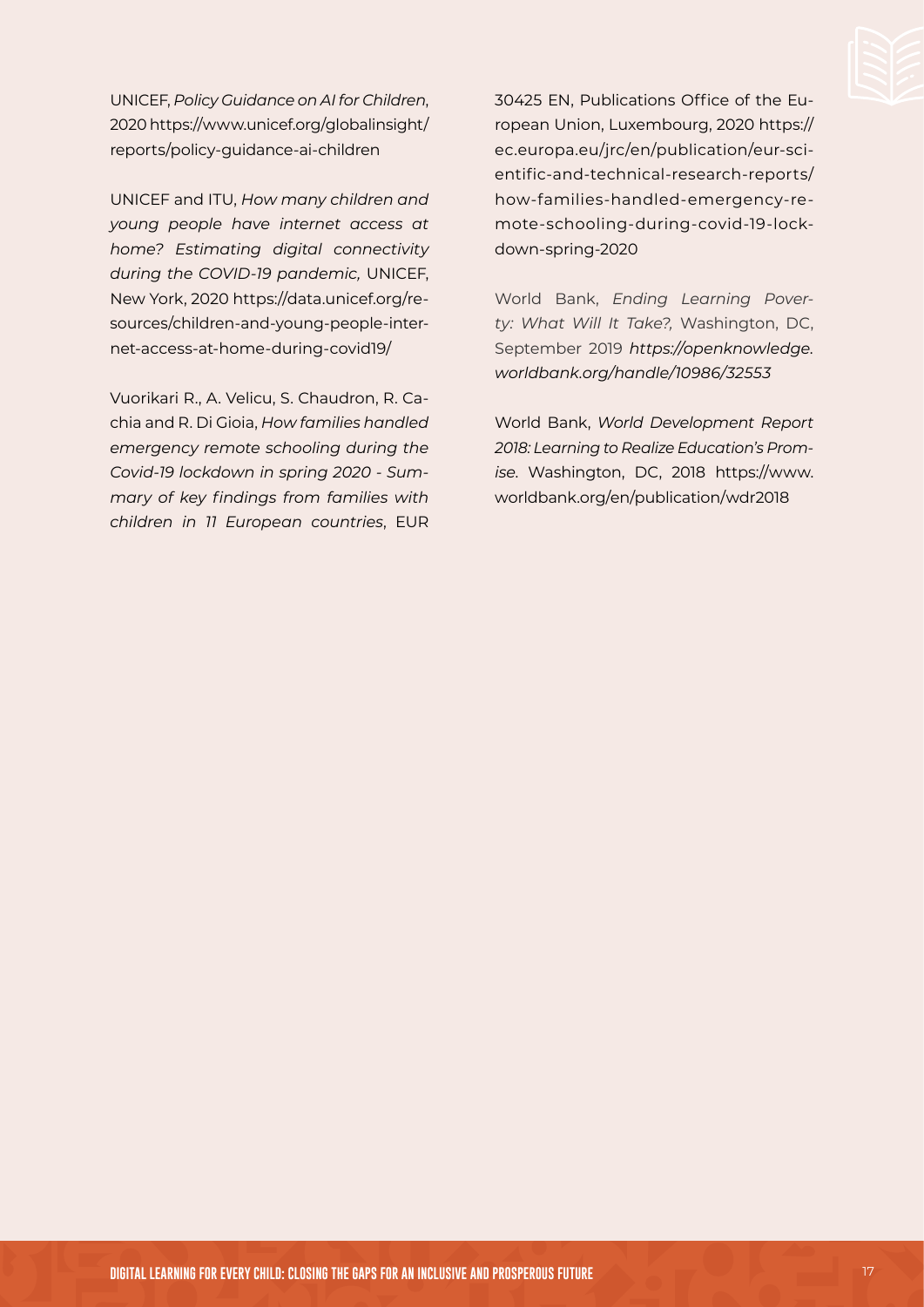UNICEF, *Policy Guidance on AI for Children*, 2020 [https://www.unicef.org/globalinsight/](https://www.unicef.org/globalinsight/reports/policy-guidance-ai-children) [reports/policy-guidance-ai-children](https://www.unicef.org/globalinsight/reports/policy-guidance-ai-children)

UNICEF and ITU, *How many children and young people have internet access at home? Estimating digital connectivity during the COVID-19 pandemic,* UNICEF, New York, 2020 [https://data.unicef.org/re](https://data.unicef.org/resources/children-and-young-people-internet-access-at-home-during-covid19/)[sources/children-and-young-people-inter](https://data.unicef.org/resources/children-and-young-people-internet-access-at-home-during-covid19/)[net-access-at-home-during-covid19/](https://data.unicef.org/resources/children-and-young-people-internet-access-at-home-during-covid19/)

Vuorikari R., A. Velicu, S. Chaudron, R. Cachia and R. Di Gioia, *How families handled emergency remote schooling during the Covid-19 lockdown in spring 2020 - Summary of key findings from families with children in 11 European countries*, EUR 30425 EN, Publications Office of the European Union, Luxembourg, 2020 [https://](https://ec.europa.eu/jrc/en/publication/eur-scientific-and-technical-research-reports/how-families-handled-emergency-remote-schooling-during-covid-19-lockdown-spring-2020) [ec.europa.eu/jrc/en/publication/eur-sci](https://ec.europa.eu/jrc/en/publication/eur-scientific-and-technical-research-reports/how-families-handled-emergency-remote-schooling-during-covid-19-lockdown-spring-2020)[entific-and-technical-research-reports/](https://ec.europa.eu/jrc/en/publication/eur-scientific-and-technical-research-reports/how-families-handled-emergency-remote-schooling-during-covid-19-lockdown-spring-2020) [how-families-handled-emergency-re](https://ec.europa.eu/jrc/en/publication/eur-scientific-and-technical-research-reports/how-families-handled-emergency-remote-schooling-during-covid-19-lockdown-spring-2020)[mote-schooling-during-covid-19-lock](https://ec.europa.eu/jrc/en/publication/eur-scientific-and-technical-research-reports/how-families-handled-emergency-remote-schooling-during-covid-19-lockdown-spring-2020)[down-spring-2020](https://ec.europa.eu/jrc/en/publication/eur-scientific-and-technical-research-reports/how-families-handled-emergency-remote-schooling-during-covid-19-lockdown-spring-2020)

World Bank, *Ending Learning Poverty: What Will It Take?,* Washington, DC, September 2019 *[https://openknowledge.](https://openknowledge.worldbank.org/handle/10986/32553) [worldbank.org/handle/10986/32553](https://openknowledge.worldbank.org/handle/10986/32553)*

World Bank, *World Development Report 2018: Learning to Realize Education's Promise*. Washington, DC, 2018 [https://www.](https://www.worldbank.org/en/publication/wdr2018) [worldbank.org/en/publication/wdr2018](https://www.worldbank.org/en/publication/wdr2018)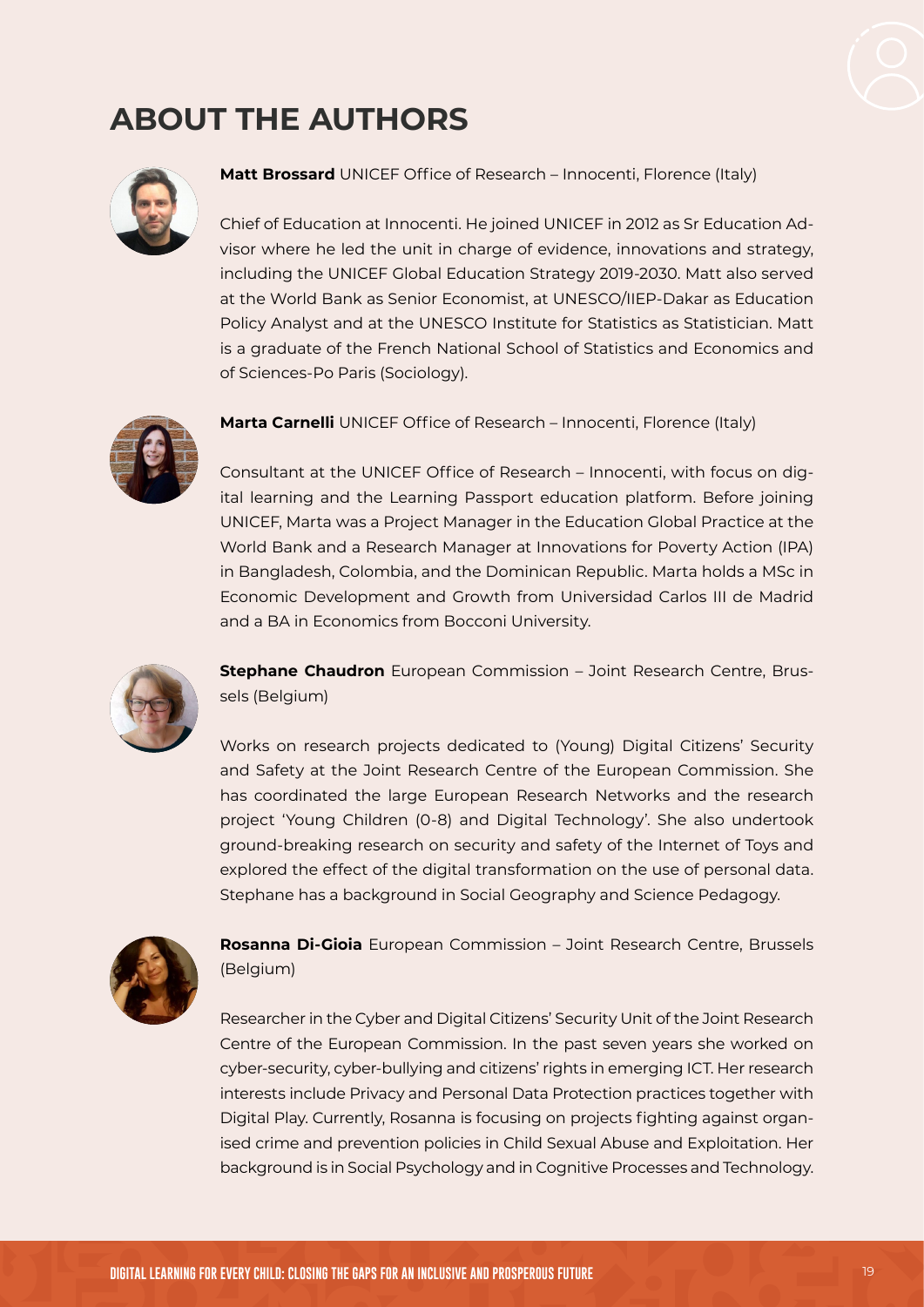

## **ABOUT THE AUTHORS**



**Matt Brossard** UNICEF Office of Research – Innocenti, Florence (Italy)

Chief of Education at Innocenti. He joined UNICEF in 2012 as Sr Education Advisor where he led the unit in charge of evidence, innovations and strategy, including the UNICEF Global Education Strategy 2019-2030. Matt also served at the World Bank as Senior Economist, at UNESCO/IIEP-Dakar as Education Policy Analyst and at the UNESCO Institute for Statistics as Statistician. Matt is a graduate of the French National School of Statistics and Economics and of Sciences-Po Paris (Sociology).



**Marta Carnelli** UNICEF Office of Research – Innocenti, Florence (Italy)

Consultant at the UNICEF Office of Research – Innocenti, with focus on digital learning and the Learning Passport education platform. Before joining UNICEF, Marta was a Project Manager in the Education Global Practice at the World Bank and a Research Manager at Innovations for Poverty Action (IPA) in Bangladesh, Colombia, and the Dominican Republic. Marta holds a MSc in Economic Development and Growth from Universidad Carlos III de Madrid and a BA in Economics from Bocconi University.



**Stephane Chaudron** European Commission – Joint Research Centre, Brussels (Belgium)

Works on research projects dedicated to (Young) Digital Citizens' Security and Safety at the Joint Research Centre of the European Commission. She has coordinated the large European Research Networks and the research project 'Young Children (0-8) and Digital Technology'. She also undertook ground-breaking research on security and safety of the Internet of Toys and explored the effect of the digital transformation on the use of personal data. Stephane has a background in Social Geography and Science Pedagogy.



**Rosanna Di-Gioia** European Commission – Joint Research Centre, Brussels (Belgium)

Researcher in the Cyber and Digital Citizens' Security Unit of the Joint Research Centre of the European Commission. In the past seven years she worked on cyber-security, cyber-bullying and citizens' rights in emerging ICT. Her research interests include Privacy and Personal Data Protection practices together with Digital Play. Currently, Rosanna is focusing on projects fighting against organised crime and prevention policies in Child Sexual Abuse and Exploitation. Her background is in Social Psychology and in Cognitive Processes and Technology.